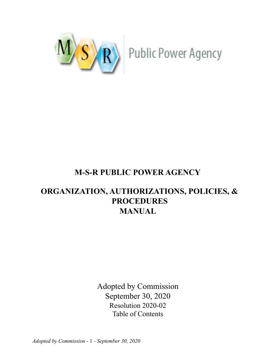

# **M-S-R PUBLIC POWER AGENCY**

# **ORGANIZATION, AUTHORIZATIONS, POLICIES, & PROCEDURES MANUAL**

Adopted by Commission September 30, 2020 Resolution 2020-02 Table of Contents

*Adopted by Commission -* 1 *- September 30, 2020*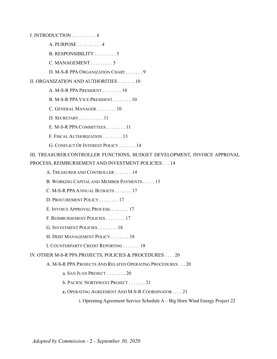I. INTRODUCTION . . . . . . . . . . 4 A. PURPOSE . . . . . . . . . . 4 B. RESPONSIBILITY . . . . . . . . . 5 C. MANAGEMENT . . . . . . . . . 5 D. M-S-R PPA ORGANIZATION CHART . . . . . . . 9 II. ORGANIZATION AND AUTHORITIES . . . . . . . 10 A. M-S-R PPA PRESIDENT . . . . . . . . 10 B. M-S-R PPA VICE PRESIDENT. . . . . . . . 10 C. GENERAL MANAGER . . . . . . . . 10 D. SECRETARY . . . . . . . . . . 11 E. M-S-R PPA COMMITTEES . . . . . . . . 11 F. FISCAL AUTHORIZATION . . . . . . . . 13 G. CONFLICT OF INTEREST POLICY . . . . . . . 14 III. TREASURER/CONTROLLER FUNCTIONS, BUDGET DEVELOPMENT, INVOICE APPROVAL PROCESS, REIMBURSEMENT AND INVESTMENT POLICIES . . . 14 A. TREASURER AND CONTROLLER . . . . . . . 14 B. WORKING CAPITAL AND MEMBER PAYMENTS . . . . . 15 C. M-S-R PPAANNUAL BUDGETS . . . . . . . 17 D. PROCUREMENT POLICY . . . . . . . . 17 E. INVOICE APPROVAL PROCESS. . . . . . . . 17 F. REIMBURSEMENT POLICIES . . . . . . . . 17 G. INVESTMENT POLICIES . . . . . . . . 18 H. DEBT MANAGEMENT POLICY. . . . . . . . 18 I. COUNTERPARTY CREDIT REPORTING . . . . . . . 18 IV. OTHER M-S-R PPA PROJECTS, POLICIES & PROCEDURES . . . . 20 A. M-S-R PPA PROJECTS AND RELATED OPERATING PROCEDURES . . . 20 a. SAN JUAN PROJECT . . . . . . . . 20

b. PACIFIC NORTHWEST PROJECT . . . . . . . 21

**c.** OPERATING AGREEMENT AND M-S-R COORDINATOR . . . . 21

i. Operating Agreement Service Schedule A – Big Horn Wind Energy Project 22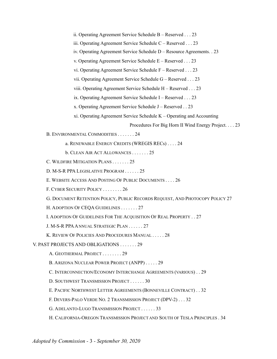ii. Operating Agreement Service Schedule B – Reserved . . . 23

iii. Operating Agreement Service Schedule C – Reserved . . . 23

iv. Operating Agreement Service Schedule D – Resource Agreements. . 23

v. Operating Agreement Service Schedule E – Reserved . . . 23

vi. Operating Agreement Service Schedule F – Reserved . . . 23

vii. Operating Agreement Service Schedule G – Reserved . . . 23

viii. Operating Agreement Service Schedule H – Reserved . . . 23

ix. Operating Agreement Service Schedule I – Reserved . . . 23

x. Operating Agreement Service Schedule J – Reserved . . 23

xi. Operating Agreement Service Schedule K – Operating and Accounting

Procedures For Big Horn II Wind Energy Project. . . . 23

B. ENVIRONMENTAL COMMODITIES . . . . . . . 24

a. RENEWABLE ENERGY CREDITS (WREGIS RECs) . . . . 24

b. CLEAN AIR ACT ALLOWANCES . . . . . . . 25

C. WILDFIRE MITIGATION PLANS . . . . . . . 25

D. M-S-R PPA LEGISLATIVE PROGRAM . . . . . . 25

E. WEBSITE ACCESS AND POSTING OF PUBLIC DOCUMENTS . . . . 26

F. CYBER SECURITY POLICY . . . . . . . . 26

G. DOCUMENT RETENTION POLICY, PUBLIC RECORDS REQUEST, AND PHOTOCOPY POLICY 27

H. ADOPTION OF CEQA GUIDELINES . . . . . . . 27

I. ADOPTION OF GUIDELINES FOR THE ACQUISITION OF REAL PROPERTY . . 27

J. M-S-R PPA ANNUAL STRATEGIC PLAN . . . . . . 27

K. REVIEW OF POLICIES AND PROCEDURES MANUAL . . . . . 28

V. PAST PROJECTS AND OBLIGATIONS . . . . . . . 29

A. GEOTHERMAL PROJECT . . . . . . . . 29

B. ARIZONA NUCLEAR POWER PROJECT (ANPP) . . . . . 29

C. INTERCONNECTION/ECONOMY INTERCHANGE AGREEMENTS (VARIOUS) . . 29

D. SOUTHWEST TRANSMISSION PROJECT . . . . . . 30

E. PACIFIC NORTHWEST LETTER AGREEMENTS (BONNEVILLE CONTRACT) . . 32

F. DEVERS-PALO VERDE NO. 2 TRANSMISSION PROJECT (DPV-2) . . . 32

G. ADELANTO-LUGO TRANSMISSION PROJECT . . . . . . 33

H. CALIFORNIA-OREGON TRANSMISSION PROJECT AND SOUTH OF TESLA PRINCIPLES . 34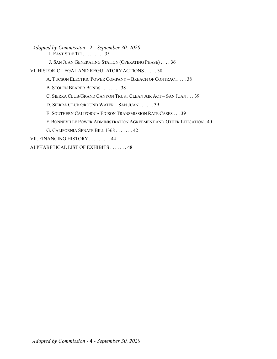*Adopted by Commission -* 2 *- September 30, 2020* I. EAST SIDE TIE . . . . . . . . . 35

J. SAN JUAN GENERATING STATION (OPERATING PHASE) . . . . 36

VI. HISTORIC LEGAL AND REGULATORY ACTIONS . . . . . 38

A. TUCSON ELECTRIC POWER COMPANY – BREACH OF CONTRACT. . . . 38

B. STOLEN BEARER BONDS . . . . . . . . 38

C. SIERRA CLUB/GRAND CANYON TRUST CLEAN AIR ACT – SAN JUAN . . . 39

D. SIERRA CLUB GROUND WATER – SAN JUAN . . . . . . 39

E. SOUTHERN CALIFORNIA EDISON TRANSMISSION RATE CASES . . . 39

F. BONNEVILLE POWER ADMINISTRATION AGREEMENT AND OTHER LITIGATION . 40

G. CALIFORNIA SENATE BILL 1368 . . . . . . . 42

VII. FINANCING HISTORY . . . . . . . . . 44

ALPHABETICAL LIST OF EXHIBITS . . . . . . . 48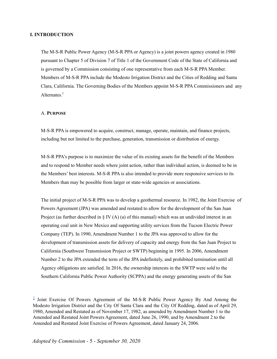# **I. INTRODUCTION**

The M-S-R Public Power Agency (M-S-R PPA or Agency) is a joint powers agency created in 1980 pursuant to Chapter 5 of Division 7 of Title 1 of the Government Code of the State of California and is governed by a Commission consisting of one representative from each M-S-R PPA Member. Members of M-S-R PPA include the Modesto Irrigation District and the Cities of Redding and Santa Clara, California. The Governing Bodies of the Members appoint M-S-R PPA Commissioners and any Alternates.<sup>1</sup>

#### A. **PURPOSE**

M-S-R PPA is empowered to acquire, construct, manage, operate, maintain, and finance projects, including but not limited to the purchase, generation, transmission or distribution of energy.

M-S-R PPA's purpose is to maximize the value of its existing assets for the benefit of the Members and to respond to Member needs where joint action, rather than individual action, is deemed to be in the Members' best interests. M-S-R PPA is also intended to provide more responsive services to its Members than may be possible from larger or state-wide agencies or associations.

The initial project of M-S-R PPA was to develop a geothermal resource. In 1982, the Joint Exercise of Powers Agreement (JPA) was amended and restated to allow for the development of the San Juan Project (as further described in § IV  $(A)$  (a) of this manual) which was an undivided interest in an operating coal unit in New Mexico and supporting utility services from the Tucson Electric Power Company (TEP). In 1990, Amendment Number 1 to the JPA was approved to allow for the development of transmission assets for delivery of capacity and energy from the San Juan Project to California (Southwest Transmission Project or SWTP) beginning in 1995. In 2006, Amendment Number 2 to the JPA extended the term of the JPA indefinitely, and prohibited termination until all Agency obligations are satisfied. In 2016, the ownership interests in the SWTP were sold to the Southern California Public Power Authority (SCPPA) and the energy generating assets of the San

 $\frac{1}{2}$  $\frac{1}{2}$  $\frac{1}{2}$  Joint Exercise Of Powers Agreement of the M-S-R Public Power Agency By And Among the Modesto Irrigation District and the City Of Santa Clara and the City Of Redding, dated as of April 29, 1980, Amended and Restated as of November 17, 1982, as amended by Amendment Number 1 to the Amended and Restated Joint Powers Agreement, dated June 26, 1990, and by Amendment 2 to the Amended and Restated Joint Exercise of Powers Agreement, dated January 24, 2006.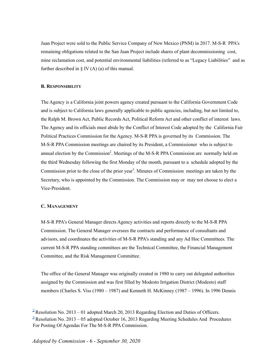Juan Project were sold to the Public Service Company of New Mexico (PNM) in 2017. M-S-R PPA's remaining obligations related to the San Juan Project include shares of plant decommissioning cost, mine reclamation cost, and potential environmental liabilities (referred to as "Legacy Liabilities" and as further described in  $\S$  IV (A) (a) of this manual.

#### **B. RESPONSIBILITY**

The Agency is a California joint powers agency created pursuant to the California Government Code and is subject to California laws generally applicable to public agencies, including, but not limited to, the Ralph M. Brown Act, Public Records Act, Political Reform Act and other conflict of interest laws. The Agency and its officials must abide by the Conflict of Interest Code adopted by the California Fair Political Practices Commission for the Agency. M-S-R PPA is governed by its Commission. The M-S-R PPA Commission meetings are chaired by its President, a Commissioner who is subject to annual election by the Commission<sup>2</sup>. Meetings of the M-S-R PPA Commission are normally held on the third Wednesday following the first Monday of the month, pursuant to a schedule adopted by the Commission prior to the close of the prior year 3 . Minutes of Commission meetings are taken by the Secretary, who is appointed by the Commission. The Commission may or may not choose to elect a Vice-President.

#### **C. MANAGEMENT**

M-S-R PPA's General Manager directs Agency activities and reports directly to the M-S-R PPA Commission. The General Manager oversees the contracts and performance of consultants and advisors, and coordinates the activities of M-S-R PPA's standing and any Ad Hoc Committees. The current M-S-R PPA standing committees are the Technical Committee, the Financial Management Committee, and the Risk Management Committee.

The office of the General Manager was originally created in 1980 to carry out delegated authorities assigned by the Commission and was first filled by Modesto Irrigation District (Modesto) staff members (Charles S. Viss (1980 – 1987) and Kenneth H. McKinney (1987 – 1996). In 1996 Dennis

<sup>&</sup>lt;sup>[2](https://msrpower.org/wp-content/uploads/2021/10/Tab-2-Resolution-2013-01-Election-and-Duties-of-Officers.pdf)</sup> Resolution No. 2013 – 01 adopted March 20, 2013 Regarding Election and Duties of Officers.  $3$  Resolution No. 2013 – 05 adopted October 16, 2013 Regarding Meeting Schedules And Procedures For Posting Of Agendas For The M-S-R PPA Commission.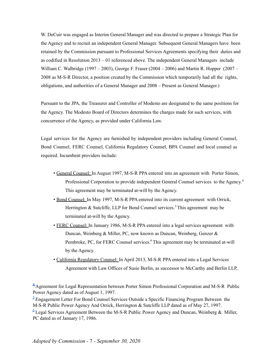W. DeCuir was engaged as Interim General Manager and was directed to prepare a Strategic Plan for the Agency and to recruit an independent General Manager. Subsequent General Managers have been retained by the Commission pursuant to Professional Services Agreements specifying their duties and as codified in Resolution 2013 – 01 referenced above. The independent General Managers include William C. Walbridge (1997 – 2003), George F. Fraser (2004 – 2006) and Martin R. Hopper (2007 – 2008 as M-S-R Director, a position created by the Commission which temporarily had all the rights, obligations, and authorities of a General Manager and 2008 – Present as General Manager.)

Pursuant to the JPA, the Treasurer and Controller of Modesto are designated to the same positions for the Agency. The Modesto Board of Directors determines the charges made for such services, with concurrence of the Agency, as provided under California Law.

Legal services for the Agency are furnished by independent providers including General Counsel, Bond Counsel, FERC Counsel, California Regulatory Counsel, BPA Counsel and local counsel as required. Incumbent providers include:

- General Counsel: In August 1997, M-S-R PPA entered into an agreement with Porter Simon, Professional Corporation to provide independent General Counsel services to the Agency.<sup>4</sup> This agreement may be terminated at-will by the Agency.
- Bond Counsel: In May 1997, M-S-R PPA entered into its current agreement with Orrick, Herrington & Sutcliffe, LLP for Bond Counsel services.<sup>5</sup> This agreement may be terminated at-will by the Agency.
- FERC Counsel: In January 1986, M-S-R PPA entered into a legal services agreement with Duncan, Weinberg & Miller, PC, now known as Duncan, Weinberg, Genzer & Pembroke, PC, for FERC Counsel services.<sup>6</sup> This agreement may be terminated at-will by the Agency.
- California Regulatory Counsel: In April 2013, M-S-R PPA entered into a Legal Services Agreement with Law Offices of Susie Berlin, as successor to McCarthy and Berlin LLP,

**[4](https://msrpower.org/wp-content/uploads/2021/10/Tab-4-Agreement-for-Legal-Rep-Porter-Simon.pdf)** Agreement for Legal Representation between Porter Simon Professional Corporation and M-S-R Public Power Agency dated as of August 1, 1997.

 $\frac{3}{2}$  Engagement Letter For Bond Counsel Services Outside a Specific Financing Program Between the M-S-R Public Power Agency And Orrick, Herrington & Sutcliffe LLP dated as of May 27, 1997.  $6$  Legal Services Agreement Between the M-S-R Public Power Agency and Duncan, Weinberg & Miller, PC dated as of January 17, 1986.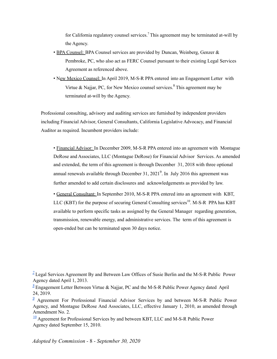for California regulatory counsel services. <sup>7</sup> This agreement may be terminated at-will by the Agency.

- BPA Counsel: BPA Counsel services are provided by Duncan, Weinberg, Genzer & Pembroke, PC, who also act as FERC Counsel pursuant to their existing Legal Services Agreement as referenced above.
- New Mexico Counsel: In April 2019, M-S-R PPA entered into an Engagement Letter with Virtue & Najjar, PC, for New Mexico counsel services.<sup>8</sup> This agreement may be terminated at-will by the Agency.

Professional consulting, advisory and auditing services are furnished by independent providers including Financial Advisor, General Consultants, California Legislative Advocacy, and Financial Auditor as required. Incumbent providers include:

• Financial Advisor: In December 2009, M-S-R PPA entered into an agreement with Montague DeRose and Associates, LLC (Montague DeRose) for Financial Advisor Services. As amended and extended, the term of this agreement is through December 31, 2018 with three optional annual renewals available through December 31,  $2021^9$ . In July 2016 this agreement was further amended to add certain disclosures and acknowledgements as provided by law.

• General Consultant: In September 2010, M-S-R PPA entered into an agreement with KBT, LLC (KBT) for the purpose of securing General Consulting services<sup>10</sup>. M-S-R PPA has KBT available to perform specific tasks as assigned by the General Manager regarding generation, transmission, renewable energy, and administrative services. The term of this agreement is open-ended but can be terminated upon 30 days notice.

 $1$  Legal Services Agreement By and Between Law Offices of Susie Berlin and the M-S-R Public Power Agency dated April 1, 2013.

 $\frac{8}{3}$  $\frac{8}{3}$  $\frac{8}{3}$  Engagement Letter Between Virtue & Najjar, PC and the M-S-R Public Power Agency dated April 24, 2019.

<sup>&</sup>lt;sup>[9](https://msrpower.org/wp-content/uploads/2021/10/Tab-9-Agreement-for-Financial-Advisor-Services-Montague.pdf)</sup> Agreement For Professional Financial Advisor Services by and between M-S-R Public Power Agency, and Montague DeRose And Associates, LLC, effective January 1, 2010, as amended through Amendment No. 2.

 $\frac{10}{10}$  $\frac{10}{10}$  $\frac{10}{10}$  Agreement for Professional Services by and between KBT, LLC and M-S-R Public Power Agency dated September 15, 2010.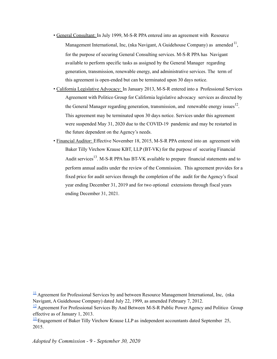- General Consultant: In July 1999, M-S-R PPA entered into an agreement with Resource Management International, Inc, (nka Navigant, A Guidehouse Company) as amended  $11$ , for the purpose of securing General Consulting services. M-S-R PPA has Navigant available to perform specific tasks as assigned by the General Manager regarding generation, transmission, renewable energy, and administrative services. The term of this agreement is open-ended but can be terminated upon 30 days notice.
- California Legislative Advocacy: In January 2013, M-S-R entered into a Professional Services Agreement with Politico Group for California legislative advocacy services as directed by the General Manager regarding generation, transmission, and renewable energy issues $^{12}$ . This agreement may be terminated upon 30 days notice. Services under this agreement were suspended May 31, 2020 due to the COVID-19 pandemic and may be restarted in the future dependent on the Agency's needs.
- Financial Auditor: Effective November 18, 2015, M-S-R PPA entered into an agreement with Baker Tilly Virchow Krause KBT, LLP (BT-VK) for the purpose of securing Financial Audit services<sup>13</sup>. M-S-R PPA has BT-VK available to prepare financial statements and to perform annual audits under the review of the Commission. This agreement provides for a fixed price for audit services through the completion of the audit for the Agency's fiscal year ending December 31, 2019 and for two optional extensions through fiscal years ending December 31, 2021.

 $\frac{11}{11}$  $\frac{11}{11}$  $\frac{11}{11}$  Agreement for Professional Services by and between Resource Management International, Inc, (nka) Navigant, A Guidehouse Company) dated July 22, 1999, as amended February 7, 2012.

 $\frac{12}{2}$  $\frac{12}{2}$  $\frac{12}{2}$  Agreement For Professional Services By And Between M-S-R Public Power Agency and Politico Group effective as of January 1, 2013.

 $\frac{13}{2}$  $\frac{13}{2}$  $\frac{13}{2}$ Engagement of Baker Tilly Virchow Krause LLP as independent accountants dated September 25, 2015.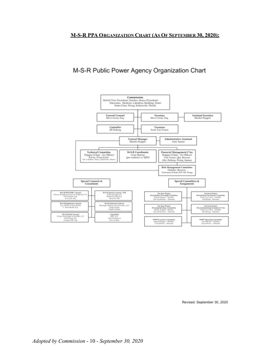# **M-S-R PPA ORGANIZATION CHART (AS OF SEPTEMBER 30, 2020):**

# M-S-R Public Power Agency Organization Chart



Revised: September 30, 2020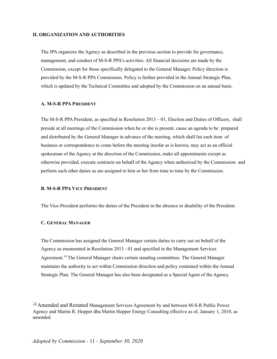# **II. ORGANIZATION AND AUTHORITIES**

The JPA organizes the Agency as described in the previous section to provide for governance, management, and conduct of M-S-R PPA's activities. All financial decisions are made by the Commission, except for those specifically delegated to the General Manager. Policy direction is provided by the M-S-R PPA Commission. Policy is further provided in the Annual Strategic Plan, which is updated by the Technical Committee and adopted by the Commission on an annual basis.

#### **A. M-S-R PPA PRESIDENT**

The M-S-R PPA President, as specified in Resolution 2013 – 01, Election and Duties of Officers, shall preside at all meetings of the Commission when he or she is present, cause an agenda to be prepared and distributed by the General Manager in advance of the meeting, which shall list each item of business or correspondence to come before the meeting insofar as is known, may act as an official spokesman of the Agency at the direction of the Commission, make all appointments except as otherwise provided, execute contracts on behalf of the Agency when authorized by the Commission and perform such other duties as are assigned to him or her from time to time by the Commission.

# **B. M-S-R PPA VICE PRESIDENT**

The Vice-President performs the duties of the President in the absence or disability of the President.

# **C. GENERAL MANAGER**

The Commission has assigned the General Manager certain duties to carry out on behalf of the Agency as enumerated in Resolution 2013 - 01 and specified in the Management Services Agreement.<sup>14</sup> The General Manager chairs certain standing committees. The General Manager maintains the authority to act within Commission direction and policy contained within the Annual Strategic Plan. The General Manager has also been designated as a Special Agent of the Agency.

<sup>&</sup>lt;sup>[14](https://msrpower.org/wp-content/uploads/2021/10/Tab-14-Agreement-for-Management-Services-Hopper.pdf)</sup> Amended and Restated Management Services Agreement by and between M-S-R Public Power Agency and Martin R. Hopper dba Martin Hopper Energy Consulting effective as of, January 1, 2010, as amended.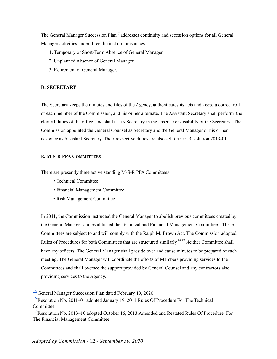The General Manager Succession Plan<sup>15</sup> addresses continuity and secession options for all General Manager activities under three distinct circumstances:

- 1. Temporary or Short-Term Absence of General Manager
- 2. Unplanned Absence of General Manager
- 3. Retirement of General Manager.

# **D. SECRETARY**

The Secretary keeps the minutes and files of the Agency, authenticates its acts and keeps a correct roll of each member of the Commission, and his or her alternate. The Assistant Secretary shall perform the clerical duties of the office, and shall act as Secretary in the absence or disability of the Secretary. The Commission appointed the General Counsel as Secretary and the General Manager or his or her designee as Assistant Secretary. Their respective duties are also set forth in Resolution 2013-01.

# **E. M-S-R PPA COMMITTEES**

There are presently three active standing M-S-R PPA Committees:

- Technical Committee
- Financial Management Committee
- Risk Management Committee

In 2011, the Commission instructed the General Manager to abolish previous committees created by the General Manager and established the Technical and Financial Management Committees. These Committees are subject to and will comply with the Ralph M. Brown Act. The Commission adopted Rules of Procedures for both Committees that are structured similarly.<sup>1617</sup> Neither Committee shall have any officers. The General Manager shall preside over and cause minutes to be prepared of each meeting. The General Manager will coordinate the efforts of Members providing services to the Committees and shall oversee the support provided by General Counsel and any contractors also providing services to the Agency.

[<sup>15</sup>](https://msrpower.org/wp-content/uploads/2021/10/Tab-15-General-Manager-Succession-Plan.pdf) General Manager Succession Plan dated February 19, 2020

 $\frac{16}{16}$  $\frac{16}{16}$  $\frac{16}{16}$  Resolution No. 2011–01 adopted January 19, 2011 Rules Of Procedure For The Technical Committee.

 $\frac{17}{2}$  $\frac{17}{2}$  $\frac{17}{2}$  Resolution No. 2013–10 adopted October 16, 2013 Amended and Restated Rules Of Procedure For The Financial Management Committee.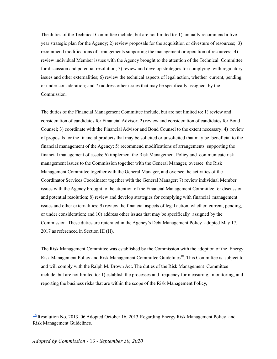The duties of the Technical Committee include, but are not limited to: 1) annually recommend a five year strategic plan for the Agency; 2) review proposals for the acquisition or divesture of resources; 3) recommend modifications of arrangements supporting the management or operation of resources; 4) review individual Member issues with the Agency brought to the attention of the Technical Committee for discussion and potential resolution; 5) review and develop strategies for complying with regulatory issues and other externalities; 6) review the technical aspects of legal action, whether current, pending, or under consideration; and 7) address other issues that may be specifically assigned by the Commission.

The duties of the Financial Management Committee include, but are not limited to: 1) review and consideration of candidates for Financial Advisor; 2) review and consideration of candidates for Bond Counsel; 3) coordinate with the Financial Advisor and Bond Counsel to the extent necessary; 4) review of proposals for the financial products that may be solicited or unsolicited that may be beneficial to the financial management of the Agency; 5) recommend modifications of arrangements supporting the financial management of assets; 6) implement the Risk Management Policy and communicate risk management issues to the Commission together with the General Manager, oversee the Risk Management Committee together with the General Manager, and oversee the activities of the Coordinator Services Coordinator together with the General Manager; 7) review individual Member issues with the Agency brought to the attention of the Financial Management Committee for discussion and potential resolution; 8) review and develop strategies for complying with financial management issues and other externalities; 9) review the financial aspects of legal action, whether current, pending, or under consideration; and 10) address other issues that may be specifically assigned by the Commission. These duties are reiterated in the Agency's Debt Management Policy adopted May 17, 2017 as referenced in Section III (H).

The Risk Management Committee was established by the Commission with the adoption of the Energy Risk Management Policy and Risk Management Committee Guidelines<sup>18</sup>. This Committee is subject to and will comply with the Ralph M. Brown Act. The duties of the Risk Management Committee include, but are not limited to: 1) establish the processes and frequency for measuring, monitoring, and reporting the business risks that are within the scope of the Risk Management Policy,

<sup>[18](https://msrpower.org/wp-content/uploads/2021/10/Tab-18-Risk-Management-Policy-and-Guidelines.pdf)</sup> Resolution No. 2013–06 Adopted October 16, 2013 Regarding Energy Risk Management Policy and Risk Management Guidelines.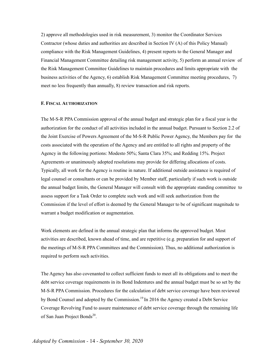2) approve all methodologies used in risk measurement, 3) monitor the Coordinator Services Contractor (whose duties and authorities are described in Section IV (A) of this Policy Manual) compliance with the Risk Management Guidelines, 4) present reports to the General Manager and Financial Management Committee detailing risk management activity, 5) perform an annual review of the Risk Management Committee Guidelines to maintain procedures and limits appropriate with the business activities of the Agency, 6) establish Risk Management Committee meeting procedures, 7) meet no less frequently than annually, 8) review transaction and risk reports.

# **F. FISCAL AUTHORIZATION**

The M-S-R PPA Commission approval of the annual budget and strategic plan for a fiscal year is the authorization for the conduct of all activities included in the annual budget. Pursuant to Section 2.2 of the Joint Exercise of Powers Agreement of the M-S-R Public Power Agency, the Members pay for the costs associated with the operation of the Agency and are entitled to all rights and property of the Agency in the following portions: Modesto 50%; Santa Clara 35%; and Redding 15%. Project Agreements or unanimously adopted resolutions may provide for differing allocations of costs. Typically, all work for the Agency is routine in nature. If additional outside assistance is required of legal counsel or consultants or can be provided by Member staff, particularly if such work is outside the annual budget limits, the General Manager will consult with the appropriate standing committee to assess support for a Task Order to complete such work and will seek authorization from the Commission if the level of effort is deemed by the General Manager to be of significant magnitude to warrant a budget modification or augmentation.

Work elements are defined in the annual strategic plan that informs the approved budget. Most activities are described, known ahead of time, and are repetitive (e.g. preparation for and support of the meetings of M-S-R PPA Committees and the Commission). Thus, no additional authorization is required to perform such activities.

The Agency has also covenanted to collect sufficient funds to meet all its obligations and to meet the debt service coverage requirements in its Bond Indentures and the annual budget must be so set by the M-S-R PPA Commission. Procedures for the calculation of debt service coverage have been reviewed by Bond Counsel and adopted by the Commission.<sup>19</sup> In 2016 the Agency created a Debt Service Coverage Revolving Fund to assure maintenance of debt service coverage through the remaining life of San Juan Project Bonds<sup>20</sup>.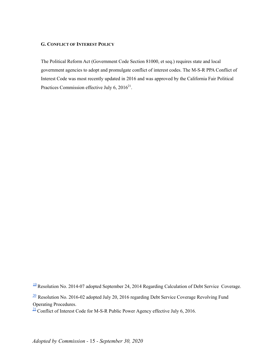# **G. CONFLICT OF INTEREST POLICY**

The Political Reform Act (Government Code Section 81000, et seq.) requires state and local government agencies to adopt and promulgate conflict of interest codes. The M-S-R PPA Conflict of Interest Code was most recently updated in 2016 and was approved by the California Fair Political Practices Commission effective July 6,  $2016^{21}$ .

<sup>[19](https://msrpower.org/wp-content/uploads/2021/10/Tab-19-Resolution-2014-07-Debt-Service-Coverage-Calculation.pdf)</sup> Resolution No. 2014-07 adopted September 24, 2014 Regarding Calculation of Debt Service Coverage.

 $\frac{20}{20}$  $\frac{20}{20}$  $\frac{20}{20}$  Resolution No. 2016-02 adopted July 20, 2016 regarding Debt Service Coverage Revolving Fund Operating Procedures.

 $\frac{21}{2}$  $\frac{21}{2}$  $\frac{21}{2}$  Conflict of Interest Code for M-S-R Public Power Agency effective July 6, 2016.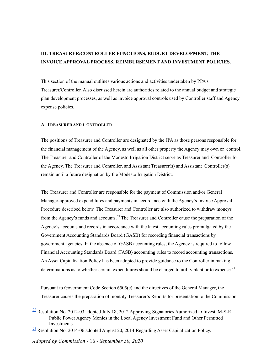# **III. TREASURER/CONTROLLER FUNCTIONS, BUDGET DEVELOPMENT, THE INVOICE APPROVAL PROCESS, REIMBURSEMENT AND INVESTMENT POLICIES.**

This section of the manual outlines various actions and activities undertaken by PPA's Treasurer/Controller. Also discussed herein are authorities related to the annual budget and strategic plan development processes, as well as invoice approval controls used by Controller staff and Agency expense policies.

# **A. TREASURER AND CONTROLLER**

The positions of Treasurer and Controller are designated by the JPA as those persons responsible for the financial management of the Agency, as well as all other property the Agency may own or control. The Treasurer and Controller of the Modesto Irrigation District serve as Treasurer and Controller for the Agency. The Treasurer and Controller, and Assistant Treasurer(s) and Assistant Controller(s) remain until a future designation by the Modesto Irrigation District.

The Treasurer and Controller are responsible for the payment of Commission and/or General Manager-approved expenditures and payments in accordance with the Agency's Invoice Approval Procedure described below. The Treasurer and Controller are also authorized to withdraw moneys from the Agency's funds and accounts.<sup>22</sup> The Treasurer and Controller cause the preparation of the Agency's accounts and records in accordance with the latest accounting rules promulgated by the Government Accounting Standards Board (GASB) for recording financial transactions by government agencies. In the absence of GASB accounting rules, the Agency is required to follow Financial Accounting Standards Board (FASB) accounting rules to record accounting transactions. An Asset Capitalization Policy has been adopted to provide guidance to the Controller in making determinations as to whether certain expenditures should be charged to utility plant or to expense.<sup>23</sup>

Pursuant to Government Code Section 6505(e) and the directives of the General Manager, the Treasurer causes the preparation of monthly Treasurer's Reports for presentation to the Commission

 $\frac{22}{2}$  $\frac{22}{2}$  $\frac{22}{2}$  Resolution No. 2012-03 adopted July 18, 2012 Approving Signatories Authorized to Invest M-S-R Public Power Agency Monies in the Local Agency Investment Fund and Other Permitted **Investments** 

 $\frac{23}{28}$  $\frac{23}{28}$  $\frac{23}{28}$  Resolution No. 2014-06 adopted August 20, 2014 Regarding Asset Capitalization Policy.

*Adopted by Commission -* 16 *- September 30, 2020*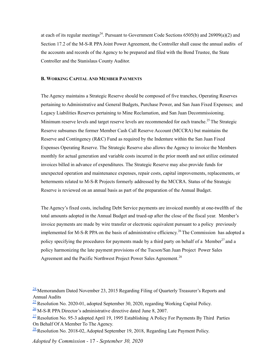at each of its regular meetings<sup>24</sup>. Pursuant to Government Code Sections 6505(b) and 26909(a)(2) and Section 17.2 of the M-S-R PPA Joint Power Agreement, the Controller shall cause the annual audits of the accounts and records of the Agency to be prepared and filed with the Bond Trustee, the State Controller and the Stanislaus County Auditor.

# **B. WORKING CAPITAL AND MEMBER PAYMENTS**

The Agency maintains a Strategic Reserve should be composed of five tranches, Operating Reserves pertaining to Administrative and General Budgets, Purchase Power, and San Juan Fixed Expenses; and Legacy Liabilities Reserves pertaining to Mine Reclamation, and San Juan Decommissioning. Minimum reserve levels and target reserve levels are recommended for each tranche.<sup>25</sup> The Strategic Reserve subsumes the former Member Cash Call Reserve Account (MCCRA) but maintains the Reserve and Contingency (R&C) Fund as required by the Indenture within the San Juan Fixed Expenses Operating Reserve. The Strategic Reserve also allows the Agency to invoice the Members monthly for actual generation and variable costs incurred in the prior month and not utilize estimated invoices billed in advance of expenditures. The Strategic Reserve may also provide funds for unexpected operation and maintenance expenses, repair costs, capital improvements, replacements, or betterments related to M-S-R Projects formerly addressed by the MCCRA. Status of the Strategic Reserve is reviewed on an annual basis as part of the preparation of the Annual Budget.

The Agency's fixed costs, including Debt Service payments are invoiced monthly at one-twelfth of the total amounts adopted in the Annual Budget and trued-up after the close of the fiscal year. Member's invoice payments are made by wire transfer or electronic equivalent pursuant to a policy previously implemented for M-S-R PPA on the basis of administrative efficiency. <sup>26</sup> The Commission has adopted a policy specifying the procedures for payments made by a third party on behalf of a Member<sup>27</sup> and a policy harmonizing the late payment provisions of the Tucson/San Juan Project Power Sales Agreement and the Pacific Northwest Project Power Sales Agreement.<sup>28</sup>

- $\frac{25}{25}$  $\frac{25}{25}$  $\frac{25}{25}$  Resolution No. 2020-01, adopted September 30, 2020, regarding Working Capital Policy.
- $26$  M-S-R PPA Director's administrative directive dated June 8, 2007.
- $\frac{27}{2}$  $\frac{27}{2}$  $\frac{27}{2}$  Resolution No. 95-3 adopted April 19, 1995 Establishing A Policy For Payments By Third Parties On Behalf Of A Member To The Agency.
- $\frac{28}{28}$  $\frac{28}{28}$  $\frac{28}{28}$  Resolution No. 2018-02, Adopted September 19, 2018, Regarding Late Payment Policy.

 $\frac{24}{2}$  $\frac{24}{2}$  $\frac{24}{2}$ Memorandum Dated November 23, 2015 Regarding Filing of Quarterly Treasurer's Reports and Annual Audits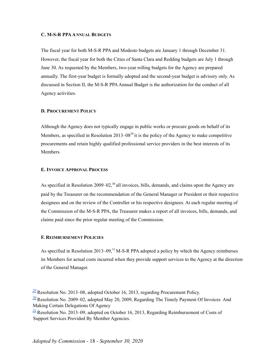# **C. M-S-R PPAANNUAL BUDGETS**

The fiscal year for both M-S-R PPA and Modesto budgets are January 1 through December 31. However, the fiscal year for both the Cities of Santa Clara and Redding budgets are July 1 through June 30. As requested by the Members, two-year rolling budgets for the Agency are prepared annually. The first-year budget is formally adopted and the second-year budget is advisory only. As discussed in Section II, the M-S-R PPAAnnual Budget is the authorization for the conduct of all Agency activities.

#### **D. PROCUREMENT POLICY**

Although the Agency does not typically engage in public works or procure goods on behalf of its Members, as specified in Resolution 2013–08<sup>29</sup> it is the policy of the Agency to make competitive procurements and retain highly qualified professional service providers in the best interests of its Members.

# **E. INVOICE APPROVAL PROCESS**

As specified in Resolution  $2009-02$ ,<sup>30</sup> all invoices, bills, demands, and claims upon the Agency are paid by the Treasurer on the recommendation of the General Manager or President or their respective designees and on the review of the Controller or his respective designees. At each regular meeting of the Commission of the M-S-R PPA, the Treasurer makes a report of all invoices, bills, demands, and claims paid since the prior regular meeting of the Commission.

# **F. REIMBURSEMENT POLICIES**

As specified in Resolution 2013–09,<sup>31</sup> M-S-R PPA adopted a policy by which the Agency reimburses its Members for actual costs incurred when they provide support services to the Agency at the direction of the General Manager.

 $\frac{29}{2}$  $\frac{29}{2}$  $\frac{29}{2}$  Resolution No. 2013–08, adopted October 16, 2013, regarding Procurement Policy.

 $\frac{30}{20}$  $\frac{30}{20}$  $\frac{30}{20}$  Resolution No. 2009–02, adopted May 20, 2009, Regarding The Timely Payment Of Invoices And Making Certain Delegations Of Agency

 $\frac{31}{2}$  $\frac{31}{2}$  $\frac{31}{2}$  Resolution No. 2013–09, adopted on October 16, 2013, Regarding Reimbursement of Costs of Support Services Provided By Member Agencies.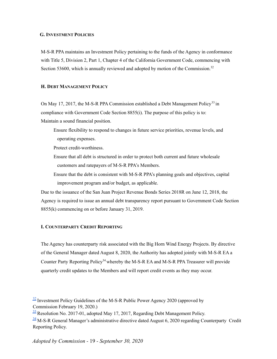### **G. INVESTMENT POLICIES**

M-S-R PPA maintains an Investment Policy pertaining to the funds of the Agency in conformance with Title 5, Division 2, Part 1, Chapter 4 of the California Government Code, commencing with Section 53600, which is annually reviewed and adopted by motion of the Commission.<sup>32</sup>

### **H. DEBT MANAGEMENT POLICY**

On May 17, 2017, the M-S-R PPA Commission established a Debt Management Policy<sup>33</sup> in compliance with Government Code Section 8855(i). The purpose of this policy is to: Maintain a sound financial position.

Ensure flexibility to respond to changes in future service priorities, revenue levels, and operating expenses.

Protect credit-worthiness.

- Ensure that all debt is structured in order to protect both current and future wholesale customers and ratepayers of M-S-R PPA's Members.
- Ensure that the debt is consistent with M-S-R PPA's planning goals and objectives, capital improvement program and/or budget, as applicable.

Due to the issuance of the San Juan Project Revenue Bonds Series 2018R on June 12, 2018, the Agency is required to issue an annual debt transparency report pursuant to Government Code Section 8855(k) commencing on or before January 31, 2019.

# **I. COUNTERPARTY CREDIT REPORTING**

The Agency has counterparty risk associated with the Big Horn Wind Energy Projects. By directive of the General Manager dated August 8, 2020, the Authority has adopted jointly with M-S-R EA a Counter Party Reporting Policy<sup>34</sup> whereby the M-S-R EA and M-S-R PPA Treasurer will provide quarterly credit updates to the Members and will report credit events as they may occur.

 $\frac{33}{22}$  $\frac{33}{22}$  $\frac{33}{22}$  Resolution No. 2017-01, adopted May 17, 2017, Regarding Debt Management Policy.

<sup>[34](https://msrpower.org/wp-content/uploads/2021/10/Tab-34-Counterparty-Credit-Reporting.pdf)</sup> M-S-R General Manager's administrative directive dated August 6, 2020 regarding Counterparty Credit Reporting Policy.

 $\frac{32}{2}$  $\frac{32}{2}$  $\frac{32}{2}$  Investment Policy Guidelines of the M-S-R Public Power Agency 2020 (approved by Commission February 19, 2020.)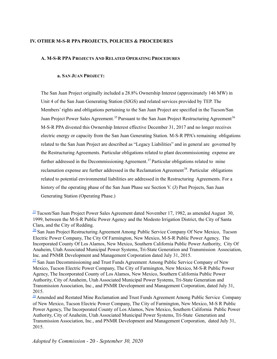# **IV. OTHER M-S-R PPA PROJECTS, POLICIES & PROCEDURES**

# **A. M-S-R PPA PROJECTS AND RELATED OPERATING PROCEDURES**

# **a. SAN JUAN PROJECT:**

The San Juan Project originally included a 28.8% Ownership Interest (approximately 146 MW) in Unit 4 of the San Juan Generating Station (SJGS) and related services provided by TEP. The Members' rights and obligations pertaining to the San Juan Project are specified in the Tucson/San Juan Project Power Sales Agreement.<sup>35</sup> Pursuant to the San Juan Project Restructuring Agreement<sup>36</sup> M-S-R PPA divested this Ownership Interest effective December 31, 2017 and no longer receives electric energy or capacity from the San Juan Generating Station. M-S-R PPA's remaining obligations related to the San Juan Project are described as "Legacy Liabilities" and in general are governed by the Restructuring Agreements. Particular obligations related to plant decommissioning expense are further addressed in the Decommissioning Agreement.<sup>37</sup> Particular obligations related to mine reclamation expense are further addressed in the Reclamation Agreement<sup>38</sup>. Particular obligations related to potential environmental liabilities are addressed in the Restructuring Agreements. For a history of the operating phase of the San Juan Phase see Section V. (J) Past Projects, San Juan Generating Station (Operating Phase.)

 $\frac{35}{2}$  $\frac{35}{2}$  $\frac{35}{2}$ Tucson/San Juan Project Power Sales Agreement dated November 17, 1982, as amended August 30, 1999, between the M-S-R Public Power Agency and the Modesto Irrigation District, the City of Santa Clara, and the City of Redding.

<sup>&</sup>lt;sup>[36](https://msrpower.org/wp-content/uploads/2021/10/Tab-36-SJPPA-Restructuring-Amendment.pdf)</sup> San Juan Project Restructuring Agreement Among Public Service Company Of New Mexico, Tucson Electric Power Company, The City Of Farmington, New Mexico, M-S-R Public Power Agency, The Incorporated County Of Los Alamos, New Mexico, Southern California Public Power Authority, City Of Anaheim, Utah Associated Municipal Power Systems, Tri-State Generation and Transmission Association, Inc. and PNMR Development and Management Corporation dated July 31, 2015.

 $37$  San Juan Decommissioning and Trust Funds Agreement Among Public Service Company of New Mexico, Tucson Electric Power Company, The City of Farmington, New Mexico, M-S-R Public Power Agency, The Incorporated County of Los Alamos, New Mexico, Southern California Public Power Authority, City of Anaheim, Utah Associated Municipal Power Systems, Tri-State Generation and Transmission Association, Inc., and PNMR Development and Management Corporation, dated July 31, 2015.

 $38$  Amended and Restated Mine Reclamation and Trust Funds Agreement Among Public Service Company of New Mexico, Tucson Electric Power Company, The City of Farmington, New Mexico, M-S R Public Power Agency, The Incorporated County of Los Alamos, New Mexico, Southern California Public Power Authority, City of Anaheim, Utah Associated Municipal Power Systems, Tri-State Generation and Transmission Association, Inc., and PNMR Development and Management Corporation, dated July 31, 2015.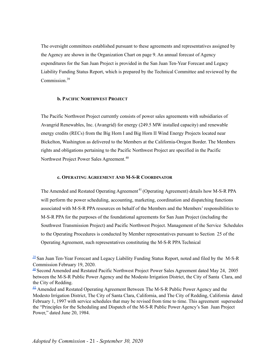The oversight committees established pursuant to these agreements and representatives assigned by the Agency are shown in the Organization Chart on page 9. An annual forecast of Agency expenditures for the San Juan Project is provided in the San Juan Ten-Year Forecast and Legacy Liability Funding Status Report, which is prepared by the Technical Committee and reviewed by the Commission. 39

# **b. PACIFIC NORTHWEST PROJECT**

The Pacific Northwest Project currently consists of power sales agreements with subsidiaries of Avangrid Renewables, Inc. (Avangrid) for energy (249.5 MW installed capacity) and renewable energy credits (RECs) from the Big Horn I and Big Horn II Wind Energy Projects located near Bickelton, Washington as delivered to the Members at the California-Oregon Border. The Members rights and obligations pertaining to the Pacific Northwest Project are specified in the Pacific Northwest Project Power Sales Agreement.<sup>40</sup>

#### **c. OPERATING AGREEMENT AND M-S-R COORDINATOR**

The Amended and Restated Operating Agreement<sup>41</sup> (Operating Agreement) details how M-S-R PPA will perform the power scheduling, accounting, marketing, coordination and dispatching functions associated with M-S-R PPA resources on behalf of the Members and the Members' responsibilities to M-S-R PPA for the purposes of the foundational agreements for San Juan Project (including the Southwest Transmission Project) and Pacific Northwest Project. Management of the Service Schedules to the Operating Procedures is conducted by Member representatives pursuant to Section 25 of the Operating Agreement, such representatives constituting the M-S-R PPA Technical

 $39$  San Juan Ten-Year Forecast and Legacy Liability Funding Status Report, noted and filed by the M-S-R Commission February 19, 2020.

<sup>&</sup>lt;sup>[40](https://msrpower.org/wp-content/uploads/2021/10/Tab-40-PNW-Power-Sales-Agreement.pdf)</sup> Second Amended and Restated Pacific Northwest Project Power Sales Agreement dated May 24, 2005 between the M-S-R Public Power Agency and the Modesto Irrigation District, the City of Santa Clara, and the City of Redding.

 $\frac{41}{2}$  $\frac{41}{2}$  $\frac{41}{2}$  Amended and Restated Operating Agreement Between The M-S-R Public Power Agency and the Modesto Irrigation District, The City of Santa Clara, California, and The City of Redding, California dated February 1, 1997 with service schedules that may be revised from time to time. This agreement superseded the "Principles for the Scheduling and Dispatch of the M-S-R Public Power Agency's San Juan Project Power," dated June 20, 1984.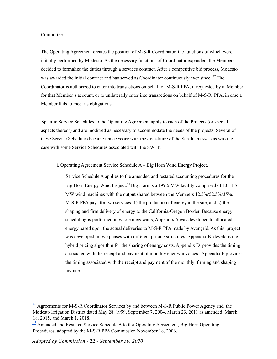#### Committee.

The Operating Agreement creates the position of M-S-R Coordinator, the functions of which were initially performed by Modesto. As the necessary functions of Coordinator expanded, the Members decided to formalize the duties through a services contract. After a competitive bid process, Modesto was awarded the initial contract and has served as Coordinator continuously ever since. <sup>42</sup> The Coordinator is authorized to enter into transactions on behalf of M-S-R PPA, if requested by a Member for that Member's account, or to unilaterally enter into transactions on behalf of M-S-R PPA, in case a Member fails to meet its obligations.

Specific Service Schedules to the Operating Agreement apply to each of the Projects (or special aspects thereof) and are modified as necessary to accommodate the needs of the projects. Several of these Service Schedules became unnecessary with the divestiture of the San Juan assets as was the case with some Service Schedules associated with the SWTP.

i. Operating Agreement Service Schedule A – Big Horn Wind Energy Project.

Service Schedule A applies to the amended and restated accounting procedures for the Big Horn Energy Wind Project.<sup>43</sup> Big Horn is a 199.5 MW facility comprised of 133 1.5 MW wind machines with the output shared between the Members 12.5%/52.5%/35%. M-S-R PPA pays for two services: 1) the production of energy at the site, and 2) the shaping and firm delivery of energy to the California-Oregon Border. Because energy scheduling is performed in whole megawatts, Appendix A was developed to allocated energy based upon the actual deliveries to M-S-R PPA made by Avangrid. As this project was developed in two phases with different pricing structures, Appendix B develops the hybrid pricing algorithm for the sharing of energy costs. Appendix D provides the timing associated with the receipt and payment of monthly energy invoices. Appendix F provides the timing associated with the receipt and payment of the monthly firming and shaping invoice.

 $\frac{42}{2}$  $\frac{42}{2}$  $\frac{42}{2}$ Agreements for M-S-R Coordinator Services by and between M-S-R Public Power Agency and the Modesto Irrigation District dated May 28, 1999, September 7, 2004, March 23, 2011 as amended March 18, 2015, and March 1, 2018.

 $\frac{43}{2}$  $\frac{43}{2}$  $\frac{43}{2}$  Amended and Restated Service Schedule A to the Operating Agreement, Big Horn Operating Procedures, adopted by the M-S-R PPA Commission November 18, 2006.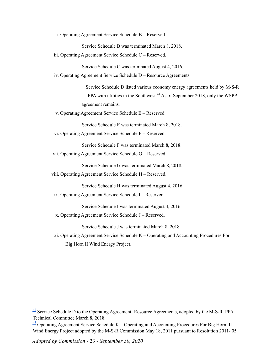ii. Operating Agreement Service Schedule B – Reserved.

Service Schedule B was terminated March 8, 2018.

iii. Operating Agreement Service Schedule C – Reserved.

Service Schedule C was terminated August 4, 2016.

iv. Operating Agreement Service Schedule D – Resource Agreements.

Service Schedule D listed various economy energy agreements held by M-S-R PPA with utilities in the Southwest.<sup>44</sup> As of September 2018, only the WSPP agreement remains.

v. Operating Agreement Service Schedule E – Reserved.

Service Schedule E was terminated March 8, 2018.

vi. Operating Agreement Service Schedule F – Reserved.

Service Schedule F was terminated March 8, 2018.

vii. Operating Agreement Service Schedule G – Reserved.

Service Schedule G was terminated March 8, 2018.

viii. Operating Agreement Service Schedule H – Reserved.

Service Schedule H was terminated August 4, 2016.

ix. Operating Agreement Service Schedule I – Reserved.

Service Schedule I was terminated August 4, 2016.

x. Operating Agreement Service Schedule J – Reserved.

Service Schedule J was terminated March 8, 2018.

xi. Operating Agreement Service Schedule K – Operating and Accounting Procedures For Big Horn II Wind Energy Project.

 $\frac{44}{3}$  $\frac{44}{3}$  $\frac{44}{3}$  Service Schedule D to the Operating Agreement, Resource Agreements, adopted by the M-S-R PPA Technical Committee March 8, 2018.

 $\frac{45}{2}$  $\frac{45}{2}$  $\frac{45}{2}$  Operating Agreement Service Schedule K – Operating and Accounting Procedures For Big Horn II Wind Energy Project adopted by the M-S-R Commission May 18, 2011 pursuant to Resolution 2011- 05.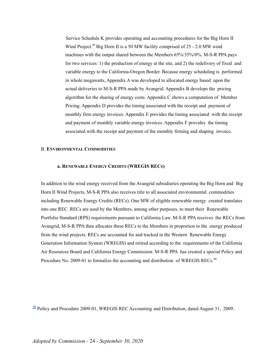Service Schedule K provides operating and accounting procedures for the Big Horn II Wind Project.<sup>45</sup> Big Horn II is a 50 MW facility comprised of 25 - 2.0 MW wind machines with the output shared between the Members 65%/35%/0%. M-S-R PPA pays for two services: 1) the production of energy at the site, and 2) the redelivery of fixed and variable energy to the California-Oregon Border. Because energy scheduling is performed in whole megawatts, Appendix A was developed to allocated energy based upon the actual deliveries to M-S-R PPA made by Avangrid. Appendix B develops the pricing algorithm for the sharing of energy costs. Appendix C shows a computation of Member Pricing. Appendix D provides the timing associated with the receipt and payment of monthly firm energy invoices. Appendix E provides the timing associated with the receipt and payment of monthly variable energy invoices. Appendix F provides the timing associated with the receipt and payment of the monthly firming and shaping invoice.

#### B. **ENVIRONMENTAL COMMODITIES**

#### **a. RENEWABLE ENERGY CREDITS (WREGIS RECS)**

In addition to the wind energy received from the Avangrid subsidiaries operating the Big Horn and Big Horn II Wind Projects, M-S-R PPA also receives title to all associated environmental commodities including Renewable Energy Credits (RECs). One MW of eligible renewable energy created translates into one REC. RECs are used by the Members, among other purposes, to meet their Renewable Portfolio Standard (RPS) requirements pursuant to California Law. M-S-R PPA receives the RECs from Avangrid, M-S-R PPA then allocates these RECs to the Members in proportion to the energy produced from the wind projects. RECs are accounted for and tracked in the Western Renewable Energy Generation Information System (WREGIS) and retired according to the requirements of the California Air Resources Board and California Energy Commission. M-S-R PPA has created a special Policy and Procedure No. 2009-01 to formalize the accounting and distribution of WREGIS RECs.<sup>46</sup>

 $\frac{46}{2}$  $\frac{46}{2}$  $\frac{46}{2}$  Policy and Procedure 2009-01, WREGIS REC Accounting and Distribution, dated August 31, 2009.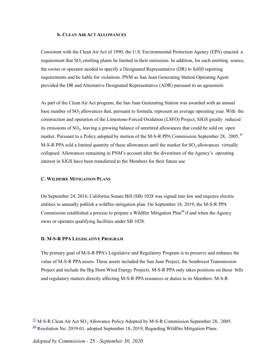#### **b. CLEAN AIR ACT ALLOWANCES**

Consistent with the Clean Air Act of 1990, the U.S. Environmental Protection Agency (EPA) enacted a requirement that  $SO<sub>2</sub>$  emitting plants be limited in their emissions. In addition, for each emitting source, the owner or operator needed to specify a Designated Representative (DR) to fulfill reporting requirements and be liable for violations. PNM as San Juan Generating Station Operating Agent provided the DR and Alternative Designated Representative (ADR) pursuant to an agreement.

As part of the Clean Air Act program, the San Juan Generating Station was awarded with an annual base number of  $SO<sub>2</sub>$  allowances that, pursuant to formula, represent an average operating year. With the construction and operation of the Limestone-Forced Oxidation (LSFO) Project, SJGS greatly reduced its emissions of  $SO_2$ , leaving a growing balance of unretired allowances that could be sold on open market. Pursuant to a Policy adopted by motion of the M-S-R PPA Commission September 28, 2005,<sup>47</sup> M-S-R PPA sold a limited quantity of these allowances until the market for  $SO<sub>2</sub>$  allowances virtually collapsed. Allowances remaining in PNM's account after the divestiture of the Agency's operating interest in SJGS have been transferred to the Members for their future use.

#### **C. WILDFIRE MITIGATION PLANS**

On September 24, 2016, California Senate Bill (SB) 1028 was signed into law and requires electric utilities to annually publish a wildfire mitigation plan. On September 18, 2019, the M-S-R PPA Commission established a process to prepare a Wildfire Mitigation Plan<sup>48</sup> if and when the Agency owns or operates qualifying facilities under SB 1028.

#### **D. M-S-R PPA LEGISLATIVE PROGRAM**

The primary goal of M-S-R PPA's Legislative and Regulatory Program is to preserve and enhance the value of M-S-R PPA assets. These assets included the San Juan Project, the Southwest Transmission Project and include the Big Horn Wind Energy Projects. M-S-R PPA only takes positions on those bills and regulatory matters directly affecting M-S-R PPA resources or duties to its Members. M-S-R

 $\frac{47}{2}$  $\frac{47}{2}$  $\frac{47}{2}$  M-S-R Clean Air Act SO<sub>2</sub> Allowance Policy Adopted by M-S-R Commission September 28, 2005. [48](https://msrpower.org/wp-content/uploads/2021/10/Tab-48-Resolution-2019-01-Wildfire-Mitigation-Plan.pdf) Resolution No. 2019-01, adopted September 18, 2019, Regarding Wildfire Mitigation Plans.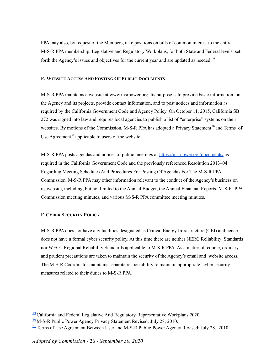PPA may also, by request of the Members, take positions on bills of common interest to the entire M-S-R PPA membership. Legislative and Regulatory Workplans, for both State and Federal levels, set forth the Agency's issues and objectives for the current year and are updated as needed.<sup>49</sup>

# **E. WEBSITE ACCESS AND POSTING OF PUBLIC DOCUMENTS**

M-S-R PPA maintains a website at www.msrpower.org. Its purpose is to provide basic information on the Agency and its projects, provide contact information, and to post notices and information as required by the California Government Code and Agency Policy. On October 11, 2015, California SB 272 was signed into law and requires local agencies to publish a list of "enterprise" systems on their websites. By motions of the Commission, M-S-R PPA has adopted a Privacy Statement<sup>50</sup> and Terms of Use Agreement<sup>51</sup> applicable to users of the website.

M-S-R PPA posts agendas and notices of public meetings at <https://msrpower.org/documents/> as required in the California Government Code and the previously referenced Resolution 2013–04 Regarding Meeting Schedules And Procedures For Posting Of Agendas For The M-S-R PPA Commission. M-S-R PPA may other information relevant to the conduct of the Agency's business on its website, including, but not limited to the Annual Budget, the Annual Financial Reports, M-S-R PPA Commission meeting minutes, and various M-S-R PPA committee meeting minutes.

# **F. CYBER SECURITY POLICY**

M-S-R PPA does not have any facilities designated as Critical Energy Infrastructure (CEI) and hence does not have a formal cyber security policy. At this time there are neither NERC Reliability Standards nor WECC Regional Reliability Standards applicable to M-S-R PPA. As a matter of course, ordinary and prudent precautions are taken to maintain the security of the Agency's email and website access. The M-S-R Coordinator maintains separate responsibility to maintain appropriate cyber security measures related to their duties to M-S-R PPA.

 $49$  California and Federal Legislative And Regulatory Representative Workplans 2020.

 $50$  M-S-R Public Power Agency Privacy Statement Revised: July 28, 2010.

 $\frac{51}{2}$  $\frac{51}{2}$  $\frac{51}{2}$  Terms of Use Agreement Between User and M-S-R Public Power Agency Revised: July 28, 2010.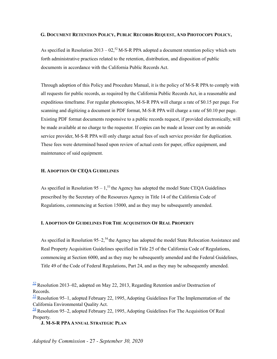# G. DOCUMENT RETENTION POLICY, PUBLIC RECORDS REQUEST, AND PHOTOCOPY POLICY,

As specified in Resolution 2013 –  $02<sup>52</sup>$  M-S-R PPA adopted a document retention policy which sets forth administrative practices related to the retention, distribution, and disposition of public documents in accordance with the California Public Records Act.

Through adoption of this Policy and Procedure Manual, it is the policy of M-S-R PPA to comply with all requests for public records, as required by the California Public Records Act, in a reasonable and expeditious timeframe. For regular photocopies, M-S-R PPA will charge a rate of \$0.15 per page. For scanning and digitizing a document in PDF format, M-S-R PPA will charge a rate of \$0.10 per page. Existing PDF format documents responsive to a public records request, if provided electronically, will be made available at no charge to the requestor. If copies can be made at lesser cost by an outside service provider, M-S-R PPA will only charge actual fees of such service provider for duplication. These fees were determined based upon review of actual costs for paper, office equipment, and maintenance of said equipment.

#### **H. ADOPTION OF CEQA GUIDELINES**

As specified in Resolution  $95 - 1$ ,<sup>53</sup> the Agency has adopted the model State CEQA Guidelines prescribed by the Secretary of the Resources Agency in Title 14 of the California Code of Regulations, commencing at Section 15000, and as they may be subsequently amended.

# **I. ADOPTION OF GUIDELINES FOR THE ACQUISITION OF REAL PROPERTY**

As specified in Resolution  $95-2$ ,<sup>54</sup> the Agency has adopted the model State Relocation Assistance and Real Property Acquisition Guidelines specified in Title 25 of the California Code of Regulations, commencing at Section 6000, and as they may be subsequently amended and the Federal Guidelines, Title 49 of the Code of Federal Regulations, Part 24, and as they may be subsequently amended.

**J. M-S-R PPAANNUAL STRATEGIC PLAN**

 $\frac{52}{2}$  $\frac{52}{2}$  $\frac{52}{2}$  Resolution 2013–02, adopted on May 22, 2013, Regarding Retention and/or Destruction of Records.

 $\frac{53}{2}$  $\frac{53}{2}$  $\frac{53}{2}$  Resolution 95–1, adopted February 22, 1995, Adopting Guidelines For The Implementation of the California Environmental Quality Act.

 $\frac{54}{9}$  $\frac{54}{9}$  $\frac{54}{9}$  Resolution 95–2, adopted February 22, 1995, Adopting Guidelines For The Acquisition Of Real Property.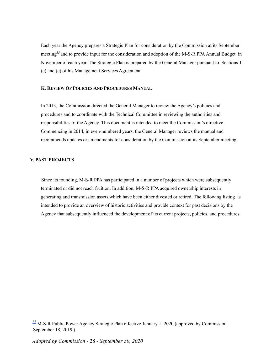Each year the Agency prepares a Strategic Plan for consideration by the Commission at its September meeting<sup>55</sup> and to provide input for the consideration and adoption of the M-S-R PPA Annual Budget in November of each year. The Strategic Plan is prepared by the General Manager pursuant to Sections 1 (c) and (e) of his Management Services Agreement.

# **K. REVIEW OF POLICIES AND PROCEDURES MANUAL**

In 2013, the Commission directed the General Manager to review the Agency's policies and procedures and to coordinate with the Technical Committee in reviewing the authorities and responsibilities of the Agency. This document is intended to meet the Commission's directive. Commencing in 2014, in even-numbered years, the General Manager reviews the manual and recommends updates or amendments for consideration by the Commission at its September meeting.

# **V. PAST PROJECTS**

Since its founding, M-S-R PPA has participated in a number of projects which were subsequently terminated or did not reach fruition. In addition, M-S-R PPA acquired ownership interests in generating and transmission assets which have been either divested or retired. The following listing is intended to provide an overview of historic activities and provide context for past decisions by the Agency that subsequently influenced the development of its current projects, policies, and procedures.

 $\frac{55}{2}$  $\frac{55}{2}$  $\frac{55}{2}$  M-S-R Public Power Agency Strategic Plan effective January 1, 2020 (approved by Commission September 18, 2019.)

*Adopted by Commission -* 28 *- September 30, 2020*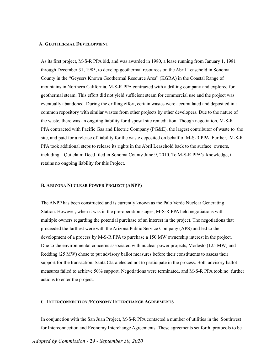#### **A. GEOTHERMAL DEVELOPMENT**

As its first project, M-S-R PPA bid, and was awarded in 1980, a lease running from January 1, 1981 through December 31, 1985, to develop geothermal resources on the Abril Leasehold in Sonoma County in the "Geysers Known Geothermal Resource Area" (KGRA) in the Coastal Range of mountains in Northern California. M-S-R PPA contracted with a drilling company and explored for geothermal steam. This effort did not yield sufficient steam for commercial use and the project was eventually abandoned. During the drilling effort, certain wastes were accumulated and deposited in a common repository with similar wastes from other projects by other developers. Due to the nature of the waste, there was an ongoing liability for disposal site remediation. Though negotiation, M-S-R PPA contracted with Pacific Gas and Electric Company (PG&E), the largest contributor of waste to the site, and paid for a release of liability for the waste deposited on behalf of M-S-R PPA. Further, M-S-R PPA took additional steps to release its rights in the Abril Leasehold back to the surface owners, including a Quitclaim Deed filed in Sonoma County June 9, 2010. To M-S-R PPA's knowledge, it retains no ongoing liability for this Project.

#### **B. ARIZONA NUCLEAR POWER PROJECT (ANPP)**

The ANPP has been constructed and is currently known as the Palo Verde Nuclear Generating Station. However, when it was in the pre-operation stages, M-S-R PPA held negotiations with multiple owners regarding the potential purchase of an interest in the project. The negotiations that proceeded the farthest were with the Arizona Public Service Company (APS) and led to the development of a process by M-S-R PPA to purchase a 150 MW ownership interest in the project. Due to the environmental concerns associated with nuclear power projects, Modesto (125 MW) and Redding (25 MW) chose to put advisory ballot measures before their constituents to assess their support for the transaction. Santa Clara elected not to participate in the process. Both advisory ballot measures failed to achieve 50% support. Negotiations were terminated, and M-S-R PPA took no further actions to enter the project.

#### **C. INTERCONNECTION /ECONOMY INTERCHANGE AGREEMENTS**

In conjunction with the San Juan Project, M-S-R PPA contacted a number of utilities in the Southwest for Interconnection and Economy Interchange Agreements. These agreements set forth protocols to be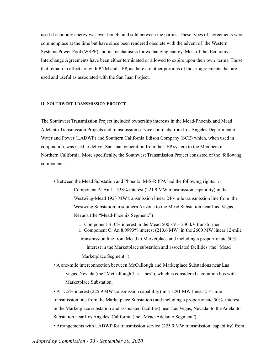used if economy energy was ever bought and sold between the parties. These types of agreements were commonplace at the time but have since been rendered obsolete with the advent of the Western Systems Power Pool (WSPP) and its mechanisms for exchanging energy. Most of the Economy Interchange Agreements have been either terminated or allowed to expire upon their own terms. Those that remain in effect are with PNM and TEP, as there are other portions of those agreements that are used and useful as associated with the San Juan Project.

#### **D. SOUTHWEST TRANSMISSION PROJECT**

The Southwest Transmission Project included ownership interests in the Mead-Phoenix and Mead Adelanto Transmission Projects and transmission service contracts from Los Angeles Department of Water and Power (LADWP) and Southern California Edison Company (SCE) which, when used in conjunction, was used to deliver San Juan generation from the TEP system to the Members in Northern California. More specifically, the Southwest Transmission Project consisted of the following components:

- Between the Mead Substation and Phoenix, M-S-R PPA had the following rights:  $\circ$ Component A: An 11.538% interest (221.9 MW transmission capability) in the Westwing-Mead 1923 MW transmission linear 246-mile transmission line from the Westwing Substation in southern Arizona to the Mead Substation near Las Vegas, Nevada (the "Mead-Phoenix Segment.")
	- o Component B: 0% interest in the Mead 500 kV 230 kV transformer
	- o Component C: An 8.0993% interest (210.6 MW) in the 2600 MW linear 12-mile transmission line from Mead to Marketplace and including a proportionate 50% interest in the Marketplace substation and associated facilities (the "Mead Marketplace Segment.")
- A one-mile interconnection between McCullough and Marketplace Substations near Las Vegas, Nevada (the "McCullough Tie-Lines"), which is considered a common bus with Marketplace Substation.

• A 17.5% interest (225.9 MW transmission capability) in a 1291 MW linear 214-mile transmission line from the Marketplace Substation (and including a proportionate 50% interest in the Marketplace substation and associated facilities) near Las Vegas, Nevada to the Adelanto Substation near Los Angeles, California (the "Mead-Adelanto Segment").

• Arrangements with LADWP for transmission service (225.9 MW transmission capability) from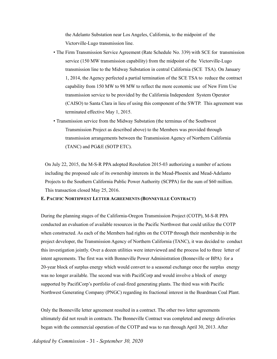the Adelanto Substation near Los Angeles, California, to the midpoint of the Victorville-Lugo transmission line.

- The Firm Transmission Service Agreement (Rate Schedule No. 339) with SCE for transmission service (150 MW transmission capability) from the midpoint of the Victorville-Lugo transmission line to the Midway Substation in central California (SCE TSA). On January 1, 2014, the Agency perfected a partial termination of the SCE TSA to reduce the contract capability from 150 MW to 98 MW to reflect the more economic use of New Firm Use transmission service to be provided by the California Independent System Operator (CAISO) to Santa Clara in lieu of using this component of the SWTP. This agreement was terminated effective May 1, 2015.
- Transmission service from the Midway Substation (the terminus of the Southwest Transmission Project as described above) to the Members was provided through transmission arrangements between the Transmission Agency of Northern California (TANC) and PG&E (SOTP ETC).

On July 22, 2015, the M-S-R PPA adopted Resolution 2015-03 authorizing a number of actions including the proposed sale of its ownership interests in the Mead-Phoenix and Mead-Adelanto Projects to the Southern California Public Power Authority (SCPPA) for the sum of \$60 million. This transaction closed May 25, 2016.

#### **E. PACIFIC NORTHWEST LETTER AGREEMENTS (BONNEVILLE CONTRACT)**

During the planning stages of the California-Oregon Transmission Project (COTP), M-S-R PPA conducted an evaluation of available resources in the Pacific Northwest that could utilize the COTP when constructed. As each of the Members had rights on the COTP through their membership in the project developer, the Transmission Agency of Northern California (TANC), it was decided to conduct this investigation jointly. Over a dozen utilities were interviewed and the process led to three letter of intent agreements. The first was with Bonneville Power Administration (Bonneville or BPA) for a 20-year block of surplus energy which would convert to a seasonal exchange once the surplus energy was no longer available. The second was with PacifiCorp and would involve a block of energy supported by PacifiCorp's portfolio of coal-fired generating plants. The third was with Pacific Northwest Generating Company (PNGC) regarding its fractional interest in the Boardman Coal Plant.

Only the Bonneville letter agreement resulted in a contract. The other two letter agreements ultimately did not result in contracts. The Bonneville Contract was completed and energy deliveries began with the commercial operation of the COTP and was to run through April 30, 2013. After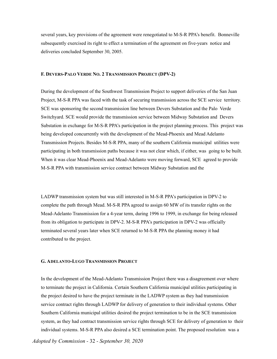several years, key provisions of the agreement were renegotiated to M-S-R PPA's benefit. Bonneville subsequently exercised its right to effect a termination of the agreement on five-years notice and deliveries concluded September 30, 2005.

#### **F. DEVERS-PALO VERDE NO. 2 TRANSMISSION PROJECT (DPV-2)**

During the development of the Southwest Transmission Project to support deliveries of the San Juan Project, M-S-R PPA was faced with the task of securing transmission across the SCE service territory. SCE was sponsoring the second transmission line between Devers Substation and the Palo Verde Switchyard. SCE would provide the transmission service between Midway Substation and Devers Substation in exchange for M-S-R PPA's participation in the project planning process. This project was being developed concurrently with the development of the Mead-Phoenix and Mead Adelanto Transmission Projects. Besides M-S-R PPA, many of the southern California municipal utilities were participating in both transmission paths because it was not clear which, if either, was going to be built. When it was clear Mead-Phoenix and Mead-Adelanto were moving forward, SCE agreed to provide M-S-R PPA with transmission service contract between Midway Substation and the

LADWP transmission system but was still interested in M-S-R PPA's participation in DPV-2 to complete the path through Mead. M-S-R PPA agreed to assign 60 MW of its transfer rights on the Mead-Adelanto Transmission for a 4-year term, during 1996 to 1999, in exchange for being released from its obligation to participate in DPV-2. M-S-R PPA's participation in DPV-2 was officially terminated several years later when SCE returned to M-S-R PPA the planning money it had contributed to the project.

#### **G. ADELANTO-LUGO TRANSMISSION PROJECT**

In the development of the Mead-Adelanto Transmission Project there was a disagreement over where to terminate the project in California. Certain Southern California municipal utilities participating in the project desired to have the project terminate in the LADWP system as they had transmission service contract rights through LADWP for delivery of generation to their individual systems. Other Southern California municipal utilities desired the project termination to be in the SCE transmission system, as they had contract transmission service rights through SCE for delivery of generation to their individual systems. M-S-R PPA also desired a SCE termination point. The proposed resolution was a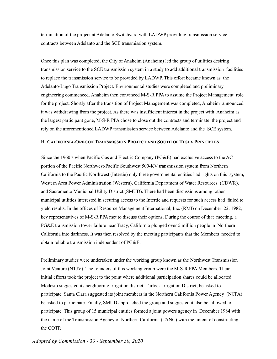termination of the project at Adelanto Switchyard with LADWP providing transmission service contracts between Adelanto and the SCE transmission system.

Once this plan was completed, the City of Anaheim (Anaheim) led the group of utilities desiring transmission service to the SCE transmission system in a study to add additional transmission facilities to replace the transmission service to be provided by LADWP. This effort became known as the Adelanto-Lugo Transmission Project. Environmental studies were completed and preliminary engineering commenced. Anaheim then convinced M-S-R PPA to assume the Project Management role for the project. Shortly after the transition of Project Management was completed, Anaheim announced it was withdrawing from the project. As there was insufficient interest in the project with Anaheim as the largest participant gone, M-S-R PPA chose to close out the contracts and terminate the project and rely on the aforementioned LADWP transmission service between Adelanto and the SCE system.

# **H. CALIFORNIA-OREGON TRANSMISSION PROJECT AND SOUTH OF TESLA PRINCIPLES**

Since the 1960's when Pacific Gas and Electric Company (PG&E) had exclusive access to the AC portion of the Pacific Northwest-Pacific Southwest 500-KV transmission system from Northern California to the Pacific Northwest (Intertie) only three governmental entities had rights on this system, Western Area Power Administration (Western), California Department of Water Resources (CDWR), and Sacramento Municipal Utility District (SMUD). There had been discussions among other municipal utilities interested in securing access to the Intertie and requests for such access had failed to yield results. In the offices of Resource Management International, Inc. (RMI) on December 22, 1982, key representatives of M-S-R PPA met to discuss their options. During the course of that meeting, a PG&E transmission tower failure near Tracy, California plunged over 5 million people in Northern California into darkness. It was then resolved by the meeting participants that the Members needed to obtain reliable transmission independent of PG&E.

Preliminary studies were undertaken under the working group known as the Northwest Transmission Joint Venture (NTJV). The founders of this working group were the M-S-R PPA Members. Their initial efforts took the project to the point where additional participation shares could be allocated. Modesto suggested its neighboring irrigation district, Turlock Irrigation District, be asked to participate. Santa Clara suggested its joint members in the Northern California Power Agency (NCPA) be asked to participate. Finally, SMUD approached the group and suggested it also be allowed to participate. This group of 15 municipal entities formed a joint powers agency in December 1984 with the name of the Transmission Agency of Northern California (TANC) with the intent of constructing the COTP.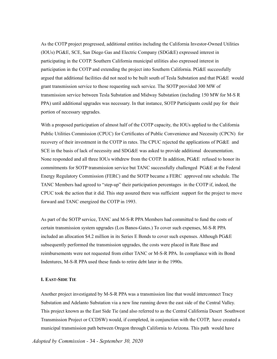As the COTP project progressed, additional entities including the California Investor-Owned Utilities (IOUs) PG&E, SCE, San Diego Gas and Electric Company (SDG&E) expressed interest in participating in the COTP. Southern California municipal utilities also expressed interest in participation in the COTP and extending the project into Southern California. PG&E successfully argued that additional facilities did not need to be built south of Tesla Substation and that PG&E would grant transmission service to those requesting such service. The SOTP provided 300 MW of transmission service between Tesla Substation and Midway Substation (including 150 MW for M-S R PPA) until additional upgrades was necessary. In that instance, SOTP Participants could pay for their portion of necessary upgrades.

With a proposed participation of almost half of the COTP capacity, the IOUs applied to the California Public Utilities Commission (CPUC) for Certificates of Public Convenience and Necessity (CPCN) for recovery of their investment in the COTP in rates. The CPUC rejected the applications of PG&E and SCE in the basis of lack of necessity and SDG&E was asked to provide additional documentation. None responded and all three IOUs withdrew from the COTP. In addition, PG&E refused to honor its commitments for SOTP transmission service but TANC successfully challenged PG&E at the Federal Energy Regulatory Commission (FERC) and the SOTP became a FERC approved rate schedule. The TANC Members had agreed to "step-up" their participation percentages in the COTP if, indeed, the CPUC took the action that it did. This step assured there was sufficient support for the project to move forward and TANC energized the COTP in 1993.

As part of the SOTP service, TANC and M-S-R PPA Members had committed to fund the costs of certain transmission system upgrades (Los Banos-Gates.) To cover such expenses, M-S-R PPA included an allocation \$4.2 million in its Series E Bonds to cover such expenses. Although PG&E subsequently performed the transmission upgrades, the costs were placed in Rate Base and reimbursements were not requested from either TANC or M-S-R PPA. In compliance with its Bond Indentures, M-S-R PPA used these funds to retire debt later in the 1990s.

# **I. EAST-SIDE TIE**

Another project investigated by M-S-R PPA was a transmission line that would interconnect Tracy Substation and Adelanto Substation via a new line running down the east side of the Central Valley. This project known as the East Side Tie (and also referred to as the Central California Desert Southwest Transmission Project or CCDSW) would, if completed, in conjunction with the COTP, have created a municipal transmission path between Oregon through California to Arizona. This path would have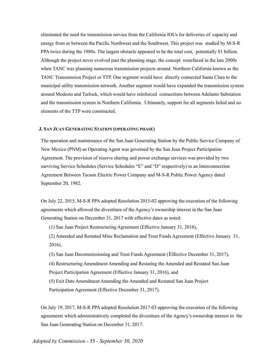eliminated the need for transmission service from the California IOUs for deliveries of capacity and energy from or between the Pacific Northwest and the Southwest. This project was studied by M-S-R PPA twice during the 1980s. The largest obstacle appeared to be the total cost, potentially \$1 billion. Although the project never evolved past the planning stage, the concept resurfaced in the late 2000s when TANC was planning numerous transmission projects around Northern California known as the TANC Transmission Project or TTP. One segment would have directly connected Santa Clara to the municipal utility transmission network. Another segment would have expanded the transmission system around Modesto and Turlock, which would have reinforced connections between Adelanto Substation and the transmission system in Northern California. Ultimately, support for all segments failed and no elements of the TTP were constructed.

#### **J. SAN JUAN GENERATING STATION (OPERATING PHASE)**

The operation and maintenance of the San Juan Generating Station by the Public Service Company of New Mexico (PNM) as Operating Agent was governed by the San Juan Project Participation Agreement. The provision of reserve sharing and power exchange services was provided by two surviving Service Schedules (Service Schedules "E" and "D" respectively) to an Interconnection Agreement Between Tucson Electric Power Company and M-S-R Public Power Agency dated September 20, 1982.

On July 22, 2015, M-S-R PPA adopted Resolution 2015-02 approving the execution of the following agreements which allowed the divestiture of the Agency's ownership interest in the San Juan Generating Station on December 31, 2017 with effective dates as noted:

(1) San Juan Project Restructuring Agreement (Effective January 31, 2016),

(2) Amended and Restated Mine Reclamation and Trust Funds Agreement (Effective January 31, 2016),

(3) San Juan Decommissioning and Trust Funds Agreement (Effective December 31, 2017),

(4) Restructuring Amendment Amending and Restating the Amended and Restated San Juan Project Participation Agreement (Effective January 31, 2016), and

(5) Exit Date Amendment Amending the Amended and Restated San Juan Project Participation Agreement (Effective December 31, 2017).

On July 19, 2017, M-S-R PPA adopted Resolution 2017-03 approving the execution of the following agreements which administratively completed the divestiture of the Agency's ownership interest in the San Juan Generating Station on December 31, 2017:

*Adopted by Commission -* 35 *- September 30, 2020*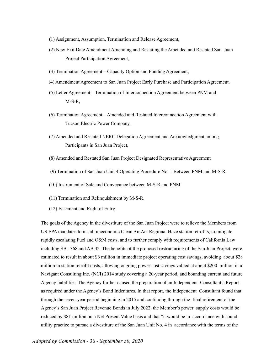- (1) Assignment, Assumption, Termination and Release Agreement,
- (2) New Exit Date Amendment Amending and Restating the Amended and Restated San Juan Project Participation Agreement,
- (3) Termination Agreement Capacity Option and Funding Agreement,
- (4) Amendment Agreement to San Juan Project Early Purchase and Participation Agreement.
- (5) Letter Agreement Termination of Interconnection Agreement between PNM and M-S-R,
- (6) Termination Agreement Amended and Restated Interconnection Agreement with Tucson Electric Power Company,
- (7) Amended and Restated NERC Delegation Agreement and Acknowledgment among Participants in San Juan Project,
- (8) Amended and Restated San Juan Project Designated Representative Agreement
- (9) Termination of San Juan Unit 4 Operating Procedure No. 1 Between PNM and M-S-R,
- (10) Instrument of Sale and Conveyance between M-S-R and PNM
- (11) Termination and Relinquishment by M-S-R.
- (12) Easement and Right of Entry.

The goals of the Agency in the divestiture of the San Juan Project were to relieve the Members from US EPA mandates to install uneconomic Clean Air Act Regional Haze station retrofits, to mitigate rapidly escalating Fuel and O&M costs, and to further comply with requirements of California Law including SB 1368 and AB 32. The benefits of the proposed restructuring of the San Juan Project were estimated to result in about \$6 million in immediate project operating cost savings, avoiding about \$28 million in station retrofit costs, allowing ongoing power cost savings valued at about \$200 million in a Navigant Consulting Inc. (NCI) 2014 study covering a 20-year period, and bounding current and future Agency liabilities. The Agency further caused the preparation of an Independent Consultant's Report as required under the Agency's Bond Indentures. In that report, the Independent Consultant found that through the seven-year period beginning in 2015 and continuing through the final retirement of the Agency's San Juan Project Revenue Bonds in July 2022, the Member's power supply costs would be reduced by \$81 million on a Net Present Value basis and that "it would be in accordance with sound utility practice to pursue a divestiture of the San Juan Unit No. 4 in accordance with the terms of the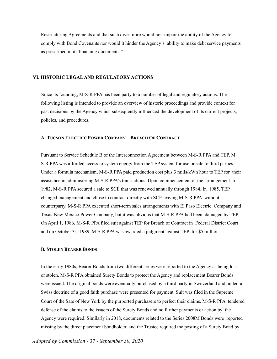Restructuring Agreements and that such divestiture would not impair the ability of the Agency to comply with Bond Covenants nor would it hinder the Agency's ability to make debt service payments as prescribed in its financing documents."

# **VI. HISTORIC LEGALAND REGULATORY ACTIONS**

Since its founding, M-S-R PPA has been party to a number of legal and regulatory actions. The following listing is intended to provide an overview of historic proceedings and provide context for past decisions by the Agency which subsequently influenced the development of its current projects, policies, and procedures.

#### **A. TUCSON ELECTRIC POWER COMPANY – BREACH OF CONTRACT**

Pursuant to Service Schedule B of the Interconnection Agreement between M-S-R PPA and TEP, M S-R PPA was afforded access to system energy from the TEP system for use or sale to third parties. Under a formula mechanism, M-S-R PPA paid production cost plus 3 mills/kWh hour to TEP for their assistance in administering M-S-R PPA's transactions. Upon commencement of the arrangement in 1982, M-S-R PPA secured a sale to SCE that was renewed annually through 1984. In 1985, TEP changed management and chose to contract directly with SCE leaving M-S-R PPA without counterparty. M-S-R PPA executed short-term sales arrangements with El Paso Electric Company and Texas-New Mexico Power Company, but it was obvious that M-S-R PPA had been damaged by TEP. On April 1, 1986, M-S-R PPA filed suit against TEP for Breach of Contract in Federal District Court and on October 31, 1989, M-S-R PPA was awarded a judgment against TEP for \$5 million.

# **B. STOLEN BEARER BONDS**

In the early 1980s, Bearer Bonds from two different series were reported to the Agency as being lost or stolen. M-S-R PPA obtained Surety Bonds to protect the Agency and replacement Bearer Bonds were issued. The original bonds were eventually purchased by a third party in Switzerland and under a Swiss doctrine of a good faith purchase were presented for payment. Suit was filed in the Supreme Court of the Sate of New York by the purported purchasers to perfect their claims. M-S-R PPA tendered defense of the claims to the issuers of the Surety Bonds and no further payments or action by the Agency were required. Similarly in 2018, documents related to the Series 2008M Bonds were reported missing by the direct placement bondholder, and the Trustee required the posting of a Surety Bond by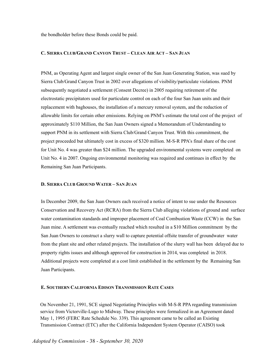the bondholder before these Bonds could be paid.

# **C. SIERRA CLUB/GRAND CANYON TRUST – CLEAN AIR ACT – SAN JUAN**

PNM, as Operating Agent and largest single owner of the San Juan Generating Station, was sued by Sierra Club/Grand Canyon Trust in 2002 over allegations of visibility/particulate violations. PNM subsequently negotiated a settlement (Consent Decree) in 2005 requiring retirement of the electrostatic precipitators used for particulate control on each of the four San Juan units and their replacement with baghouses, the installation of a mercury removal system, and the reduction of allowable limits for certain other emissions. Relying on PNM's estimate the total cost of the project of approximately \$110 Million, the San Juan Owners signed a Memorandum of Understanding to support PNM in its settlement with Sierra Club/Grand Canyon Trust. With this commitment, the project proceeded but ultimately cost in excess of \$320 million. M-S-R PPA's final share of the cost for Unit No. 4 was greater than \$24 million. The upgraded environmental systems were completed on Unit No. 4 in 2007. Ongoing environmental monitoring was required and continues in effect by the Remaining San Juan Participants.

#### **D. SIERRA CLUB GROUND WATER – SAN JUAN**

In December 2009, the San Juan Owners each received a notice of intent to sue under the Resources Conservation and Recovery Act (RCRA) from the Sierra Club alleging violations of ground and surface water contamination standards and improper placement of Coal Combustion Waste (CCW) in the San Juan mine. A settlement was eventually reached which resulted in a \$10 Million commitment by the San Juan Owners to construct a slurry wall to capture potential offsite transfer of groundwater water from the plant site and other related projects. The installation of the slurry wall has been delayed due to property rights issues and although approved for construction in 2014, was completed in 2018. Additional projects were completed at a cost limit established in the settlement by the Remaining San Juan Participants.

#### **E. SOUTHERN CALIFORNIA EDISON TRANSMISSION RATE CASES**

On November 21, 1991, SCE signed Negotiating Principles with M-S-R PPA regarding transmission service from Victorville-Lugo to Midway. These principles were formalized in an Agreement dated May 1, 1995 (FERC Rate Schedule No. 339). This agreement came to be called an Existing Transmission Contract (ETC) after the California Independent System Operator (CAISO) took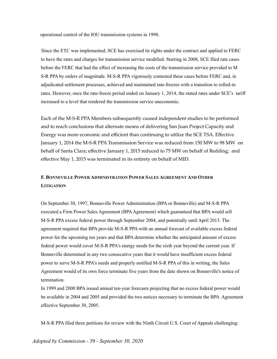operational control of the IOU transmission systems in 1998.

Since the ETC was implemented, SCE has exercised its rights under the contract and applied to FERC to have the rates and charges for transmission service modified. Starting in 2008, SCE filed rate cases before the FERC that had the effect of increasing the costs of the transmission service provided to M S-R PPA by orders of magnitude. M-S-R PPA vigorously contested these cases before FERC and, in adjudicated settlement processes, achieved and maintained rate-freezes with a transition to rolled-in rates. However, once the rate-freeze period ended on January 1, 2014, the stated rates under SCE's tariff increased to a level that rendered the transmission service uneconomic.

Each of the M-S-R PPA Members subsequently caused independent studies to be performed and to reach conclusions that alternate means of delivering San Juan Project Capacity and Energy was more economic and efficient than continuing to utilize the SCE TSA. Effective January 1, 2014 the M-S-R PPA Transmission Service was reduced from 150 MW to 98 MW on behalf of Santa Clara; effective January 1, 2015 reduced to 75 MW on behalf of Redding; and effective May 1, 2015 was terminated in its entirety on behalf of MID.

# **F. BONNEVILLE POWER ADMINISTRATION POWER SALES AGREEMENT AND OTHER LITIGATION**

On September 30, 1997, Bonneville Power Administration (BPA or Bonneville) and M-S-R PPA executed a Firm Power Sales Agreement (BPAAgreement) which guaranteed that BPA would sell M-S-R PPA excess federal power through September 2004, and potentially until April 2013. The agreement required that BPA provide M-S-R PPA with an annual forecast of available excess federal power for the upcoming ten years and that BPA determine whether the anticipated amount of excess federal power would cover M-S-R PPA's energy needs for the sixth year beyond the current year. If Bonneville determined in any two consecutive years that it would have insufficient excess federal power to serve M-S-R PPA's needs and properly notified M-S-R PPA of this in writing, the Sales Agreement would of its own force terminate five years from the date shown on Bonneville's notice of termination.

In 1999 and 2000 BPA issued annual ten-year forecasts projecting that no excess federal power would be available in 2004 and 2005 and provided the two notices necessary to terminate the BPA Agreement effective September 30, 2005.

M-S-R PPA filed three petitions for review with the Ninth Circuit U.S. Court of Appeals challenging: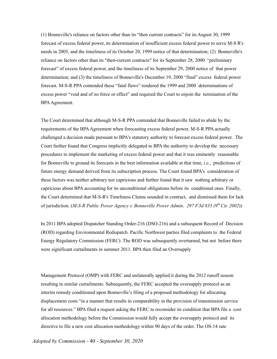(1) Bonneville's reliance on factors other than its "then current contracts" for its August 30, 1999 forecast of excess federal power, its determination of insufficient excess federal power to serve M-S R's needs in 2005, and the timeliness of its October 20, 1999 notice of that determination; (2) Bonneville's reliance on factors other than its "then-current contracts" for its September 28, 2000 "preliminary forecast" of excess federal power, and the timeliness of its September 29, 2000 notice of that power determination; and (3) the timeliness of Bonneville's December 19, 2000 "final" excess federal power forecast. M-S-R PPA contended these "fatal flaws" rendered the 1999 and 2000 determinations of excess power "void and of no force or effect" and required the Court to enjoin the termination of the BPAAgreement.

The Court determined that although M-S-R PPA contended that Bonneville failed to abide by the requirements of the BPAAgreement when forecasting excess federal power, M-S-R PPA actually challenged a decision made pursuant to BPA's statutory authority to forecast excess federal power. The Court further found that Congress implicitly delegated to BPA the authority to develop the necessary procedures to implement the marketing of excess federal power and that it was eminently reasonable for Bonneville to ground its forecasts in the best information available at that time, *i.e*., predictions of future energy demand derived from its subscription process. The Court found BPA's consideration of these factors was neither arbitrary nor capricious and further found that it saw nothing arbitrary or capricious about BPA accounting for its unconditional obligations before its conditional ones. Finally, the Court determined that M-S-R's Timeliness Claims sounded in contract, and dismissed them for lack of jurisdiction. (*M-S-R Public Power Agency v. Bonneville Power Admin. 297 F.3d 833 (9 thCir. 2002*))

In 2011 BPA adopted Dispatcher Standing Order-216 (DSO-216) and a subsequent Record of Decision (ROD) regarding Environmental Redispatch. Pacific Northwest parties filed complaints to the Federal Energy Regulatory Commission (FERC). The ROD was subsequently overturned, but not before there were significant curtailments in summer 2011. BPA then filed an Oversupply

Management Protocol (OMP) with FERC and unilaterally applied it during the 2012 runoff season resulting in similar curtailments. Subsequently, the FERC accepted the oversupply protocol as an interim remedy conditioned upon Bonneville's filing of a proposed methodology for allocating displacement costs "in a manner that results in comparability in the provision of transmission service for all resources." BPA filed a request asking the FERC to reconsider its condition that BPA file a cost allocation methodology before the Commission would fully accept the oversupply protocol and its directive to file a new cost allocation methodology within 90 days of the order. The OS-14 rate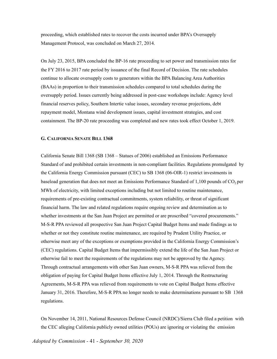proceeding, which established rates to recover the costs incurred under BPA's Oversupply Management Protocol, was concluded on March 27, 2014.

On July 23, 2015, BPA concluded the BP-16 rate proceeding to set power and transmission rates for the FY 2016 to 2017 rate period by issuance of the final Record of Decision. The rate schedules continue to allocate oversupply costs to generators within the BPA Balancing Area Authorities (BAAs) in proportion to their transmission schedules compared to total schedules during the oversupply period. Issues currently being addressed in post-case workshops include: Agency level financial reserves policy, Southern Intertie value issues, secondary revenue projections, debt repayment model, Montana wind development issues, capital investment strategies, and cost containment. The BP-20 rate proceeding was completed and new rates took effect October 1, 2019.

#### **G. CALIFORNIA SENATE BILL 1368**

California Senate Bill 1368 (SB 1368 – Statues of 2006) established an Emissions Performance Standard of and prohibited certain investments in non-compliant facilities. Regulations promulgated by the California Energy Commission pursuant (CEC) to SB 1368 (06-OIR-1) restrict investments in baseload generation that does not meet an Emissions Performance Standard of 1,100 pounds of  $CO<sub>2</sub>$  per MWh of electricity, with limited exceptions including but not limited to routine maintenance, requirements of pre-existing contractual commitments, system reliability, or threat of significant financial harm. The law and related regulations require ongoing review and determination as to whether investments at the San Juan Project are permitted or are proscribed "covered procurements." M-S-R PPA reviewed all prospective San Juan Project Capital Budget Items and made findings as to whether or not they constitute routine maintenance, are required by Prudent Utility Practice, or otherwise meet any of the exceptions or exemptions provided in the California Energy Commission's (CEC) regulations. Capital Budget Items that impermissibly extend the life of the San Juan Project or otherwise fail to meet the requirements of the regulations may not be approved by the Agency. Through contractual arrangements with other San Juan owners, M-S-R PPA was relieved from the obligation of paying for Capital Budget Items effective July 1, 2014. Through the Restructuring Agreements, M-S-R PPA was relieved from requirements to vote on Capital Budget Items effective January 31, 2016. Therefore, M-S-R PPA no longer needs to make determinations pursuant to SB 1368 regulations.

On November 14, 2011, National Resources Defense Council (NRDC)/Sierra Club filed a petition with the CEC alleging California publicly owned utilities (POUs) are ignoring or violating the emission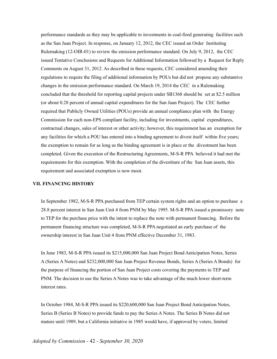performance standards as they may be applicable to investments in coal-fired generating facilities such as the San Juan Project. In response, on January 12, 2012, the CEC issued an Order Instituting Rulemaking (12-OIR-01) to review the emission performance standard. On July 9, 2012, the CEC issued Tentative Conclusions and Requests for Additional Information followed by a Request for Reply Comments on August 31, 2012. As described in these requests, CEC considered amending their regulations to require the filing of additional information by POUs but did not propose any substantive changes in the emission performance standard. On March 19, 2014 the CEC in a Rulemaking concluded that the threshold for reporting capital projects under SB1368 should be set at \$2.5 million (or about 0.28 percent of annual capital expenditures for the San Juan Project). The CEC further required that Publicly Owned Utilities (POUs) provide an annual compliance plan with the Energy Commission for each non-EPS compliant facility, including for investments, capital expenditures, contractual changes, sales of interest or other activity; however, this requirement has an exemption for any facilities for which a POU has entered into a binding agreement to divest itself within five years; the exemption to remain for as long as the binding agreement is in place or the divestment has been completed. Given the execution of the Restructuring Agreements, M-S-R PPA believed it had met the requirements for this exemption. With the completion of the divestiture of the San Juan assets, this requirement and associated exemption is now moot.

#### **VII. FINANCING HISTORY**

In September 1982, M-S-R PPA purchased from TEP certain system rights and an option to purchase a 28.8 percent interest in San Juan Unit 4 from PNM by May 1995. M-S-R PPA issued a promissory note to TEP for the purchase price with the intent to replace the note with permanent financing. Before the permanent financing structure was completed, M-S-R PPA negotiated an early purchase of the ownership interest in San Juan Unit 4 from PNM effective December 31, 1983.

In June 1983, M-S-R PPA issued its \$215,000,000 San Juan Project Bond Anticipation Notes, Series A (Series A Notes) and \$232,000,000 San Juan Project Revenue Bonds, Series A (Series A Bonds) for the purpose of financing the portion of San Juan Project costs covering the payments to TEP and PNM. The decision to use the Series A Notes was to take advantage of the much lower short-term interest rates.

In October 1984, M-S-R PPA issued its \$220,600,000 San Juan Project Bond Anticipation Notes, Series B (Series B Notes) to provide funds to pay the Series A Notes. The Series B Notes did not mature until 1989, but a California initiative in 1985 would have, if approved by voters, limited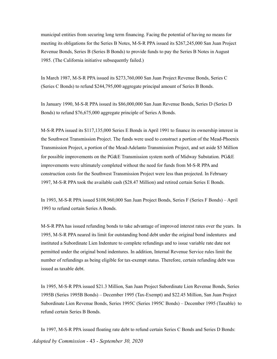municipal entities from securing long term financing. Facing the potential of having no means for meeting its obligations for the Series B Notes, M-S-R PPA issued its \$267,245,000 San Juan Project Revenue Bonds, Series B (Series B Bonds) to provide funds to pay the Series B Notes in August 1985. (The California initiative subsequently failed.)

In March 1987, M-S-R PPA issued its \$273,760,000 San Juan Project Revenue Bonds, Series C (Series C Bonds) to refund \$244,795,000 aggregate principal amount of Series B Bonds.

In January 1990, M-S-R PPA issued its \$86,000,000 San Juan Revenue Bonds, Series D (Series D Bonds) to refund \$76,675,000 aggregate principle of Series A Bonds.

M-S-R PPA issued its \$117,135,000 Series E Bonds in April 1991 to finance its ownership interest in the Southwest Transmission Project. The funds were used to construct a portion of the Mead-Phoenix Transmission Project, a portion of the Mead-Adelanto Transmission Project, and set aside \$5 Million for possible improvements on the PG&E Transmission system north of Midway Substation. PG&E improvements were ultimately completed without the need for funds from M-S-R PPA and construction costs for the Southwest Transmission Project were less than projected. In February 1997, M-S-R PPA took the available cash (\$28.47 Million) and retired certain Series E Bonds.

In 1993, M-S-R PPA issued \$108,960,000 San Juan Project Bonds, Series F (Series F Bonds) – April 1993 to refund certain Series A Bonds.

M-S-R PPA has issued refunding bonds to take advantage of improved interest rates over the years. In 1995, M-S-R PPA neared its limit for outstanding bond debt under the original bond indentures and instituted a Subordinate Lien Indenture to complete refundings and to issue variable rate date not permitted under the original bond indentures. In addition, Internal Revenue Service rules limit the number of refundings as being eligible for tax-exempt status. Therefore, certain refunding debt was issued as taxable debt.

In 1995, M-S-R PPA issued \$21.3 Million, San Juan Project Subordinate Lien Revenue Bonds, Series 1995B (Series 1995B Bonds) – December 1995 (Tax-Exempt) and \$22.45 Million, San Juan Project Subordinate Lien Revenue Bonds, Series 1995C (Series 1995C Bonds) – December 1995 (Taxable) to refund certain Series B Bonds.

In 1997, M-S-R PPA issued floating rate debt to refund certain Series C Bonds and Series D Bonds: *Adopted by Commission -* 43 *- September 30, 2020*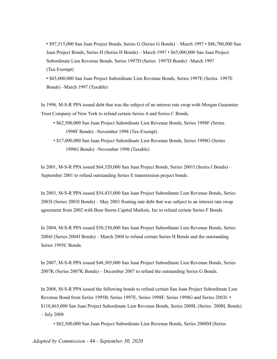• \$97,515,000 San Juan Project Bonds, Series G (Series G Bonds) – March 1997 • \$86,700,000 San Juan Project Bonds, Series H (Series H Bonds) – March 1997 • \$65,000,000 San Juan Project Subordinate Lien Revenue Bonds, Series 1997D (Series 1997D Bonds) –March 1997 (Tax-Exempt)

• \$65,000,000 San Juan Project Subordinate Lien Revenue Bonds, Series 1997E (Series 1997E Bonds) –March 1997 (Taxable)

In 1998, M-S-R PPA issued debt that was the subject of an interest rate swap with Morgan Guarantee Trust Company of New York to refund certain Series A and Series C Bonds.

- \$62,500,000 San Juan Project Subordinate Lien Revenue Bonds, Series 1998F (Series 1998F Bonds) –November 1998 (Tax-Exempt)
- \$17,000,000 San Juan Project Subordinate Lien Revenue Bonds, Series 1998G (Series 1998G Bonds) –November 1998 (Taxable)

In 2001, M-S-R PPA issued \$64,320,000 San Juan Project Bonds, Series 2001I (Series I Bonds) – September 2001 to refund outstanding Series E transmission project bonds.

In 2003, M-S-R PPA issued \$54,435,000 San Juan Project Subordinate Lien Revenue Bonds, Series 2003I (Series 2003I Bonds) – May 2003 floating rate debt that was subject to an interest rate swap agreement from 2002 with Bear Sterns Capital Markets, Inc to refund certain Series F Bonds.

In 2004, M-S-R PPA issued \$50,330,000 San Juan Project Subordinate Lien Revenue Bonds, Series 2004J (Series 2004J Bonds) – March 2004 to refund certain Series H Bonds and the outstanding Series 1995C Bonds.

In 2007, M-S-R PPA issued \$48,305,000 San Juan Project Subordinate Lien Revenue Bonds, Series 2007K (Series 2007K Bonds) – December 2007 to refund the outstanding Series G Bonds.

In 2008, M-S-R PPA issued the following bonds to refund certain San Juan Project Subordinate Lien Revenue Bond from Series 1995B, Series 1997E, Series 1998F, Series 1998G and Series 2003I: • \$118,865,000 San Juan Project Subordinate Lien Revenue Bonds, Series 2008L (Series 2008L Bonds) – July 2008

• \$62,500,000 San Juan Project Subordinate Lien Revenue Bonds, Series 2008M (Series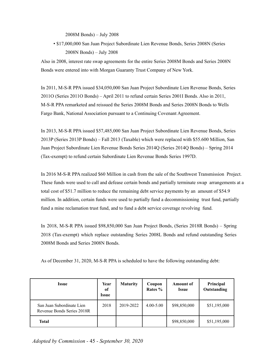2008M Bonds) – July 2008

• \$17,000,000 San Juan Project Subordinate Lien Revenue Bonds, Series 2008N (Series 2008N Bonds) – July 2008

Also in 2008, interest rate swap agreements for the entire Series 2008M Bonds and Series 2008N Bonds were entered into with Morgan Guaranty Trust Company of New York.

In 2011, M-S-R PPA issued \$34,050,000 San Juan Project Subordinate Lien Revenue Bonds, Series 2011O (Series 2011O Bonds) – April 2011 to refund certain Series 2001I Bonds. Also in 2011, M-S-R PPA remarketed and reissued the Series 2008M Bonds and Series 2008N Bonds to Wells Fargo Bank, National Association pursuant to a Continuing Covenant Agreement.

In 2013, M-S-R PPA issued \$57,485,000 San Juan Project Subordinate Lien Revenue Bonds, Series 2013P (Series 2013P Bonds) – Fall 2013 (Taxable) which were replaced with \$55.600 Million, San Juan Project Subordinate Lien Revenue Bonds Series 2014Q (Series 2014Q Bonds) – Spring 2014 (Tax-exempt) to refund certain Subordinate Lien Revenue Bonds Series 1997D.

In 2016 M-S-R PPA realized \$60 Million in cash from the sale of the Southwest Transmission Project. These funds were used to call and defease certain bonds and partially terminate swap arrangements at a total cost of \$51.7 million to reduce the remaining debt service payments by an amount of \$54.9 million. In addition, certain funds were used to partially fund a decommissioning trust fund, partially fund a mine reclamation trust fund, and to fund a debt service coverage revolving fund.

In 2018, M-S-R PPA issued \$98,850,000 San Juan Project Bonds, (Series 2018R Bonds) – Spring 2018 (Tax-exempt) which replace outstanding Series 2008L Bonds and refund outstanding Series 2008M Bonds and Series 2008N Bonds.

As of December 31, 2020, M-S-R PPA is scheduled to have the following outstanding debt:

| Issue                                                   | Year<br>of<br><i><u><b>Issue</b></u></i> | <b>Maturity</b> | Coupon<br>Rates % | <b>Amount of</b><br><b>Issue</b> | Principal<br>Outstanding |
|---------------------------------------------------------|------------------------------------------|-----------------|-------------------|----------------------------------|--------------------------|
| San Juan Subordinate Lien<br>Revenue Bonds Series 2018R | 2018                                     | 2019-2022       | $4.00 - 5.00$     | \$98,850,000                     | \$51,195,000             |
| <b>Total</b>                                            |                                          |                 |                   | \$98,850,000                     | \$51,195,000             |

*Adopted by Commission -* 45 *- September 30, 2020*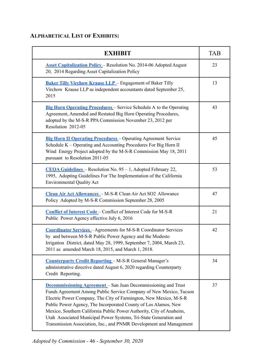# **ALPHABETICAL LIST OF EXHIBITS:**

| <b>EXHIBIT</b>                                                                                                                                                                                                                                                                                                                                                                                                                                                                                          | <b>TAB</b> |
|---------------------------------------------------------------------------------------------------------------------------------------------------------------------------------------------------------------------------------------------------------------------------------------------------------------------------------------------------------------------------------------------------------------------------------------------------------------------------------------------------------|------------|
| <b>Asset Capitalization Policy - Resolution No. 2014-06 Adopted August</b><br>20, 2014 Regarding Asset Capitalization Policy                                                                                                                                                                                                                                                                                                                                                                            | 23         |
| <b>Baker Tilly Virchow Krause LLP</b> - Engagement of Baker Tilly<br>Virchow Krause LLP as independent accountants dated September 25,<br>2015                                                                                                                                                                                                                                                                                                                                                          | 13         |
| <b>Big Horn Operating Procedures</b> – Service Schedule A to the Operating<br>Agreement, Amended and Restated Big Horn Operating Procedures,<br>adopted by the M-S-R PPA Commission November 23, 2012 per<br>Resolution 2012-05                                                                                                                                                                                                                                                                         | 43         |
| <b>Big Horn II Operating Procedures</b> - Operating Agreement Service<br>Schedule K - Operating and Accounting Procedures For Big Horn II<br>Wind Energy Project adopted by the M-S-R Commission May 18, 2011<br>pursuant to Resolution 2011-05                                                                                                                                                                                                                                                         | 45         |
| <b>CEOA Guidelines</b> – Resolution No. 95 – 1, Adopted February 22,<br>1995, Adopting Guidelines For The Implementation of the California<br><b>Environmental Quality Act</b>                                                                                                                                                                                                                                                                                                                          | 53         |
| Clean Air Act Allowances - M-S-R Clean Air Act SO2 Allowance<br>Policy Adopted by M-S-R Commission September 28, 2005                                                                                                                                                                                                                                                                                                                                                                                   | 47         |
| <b>Conflict of Interest Code</b> - Conflict of Interest Code for M-S-R<br>Public Power Agency effective July 6, 2016                                                                                                                                                                                                                                                                                                                                                                                    | 21         |
| <b>Coordinator Services - Agreements for M-S-R Coordinator Services</b><br>by and between M-S-R Public Power Agency and the Modesto<br>Irrigation District, dated May 28, 1999, September 7, 2004, March 23,<br>2011 as amended March 18, 2015, and March 1, 2018.                                                                                                                                                                                                                                      | 42         |
| <b>Counterparty Credit Reporting - M-S-R General Manager's</b><br>administrative directive dated August 6, 2020 regarding Counterparty<br>Credit Reporting.                                                                                                                                                                                                                                                                                                                                             | 34         |
| <b>Decommissioning Agreement</b> – San Juan Decommissioning and Trust<br>Funds Agreement Among Public Service Company of New Mexico, Tucson<br>Electric Power Company, The City of Farmington, New Mexico, M-S-R<br>Public Power Agency, The Incorporated County of Los Alamos, New<br>Mexico, Southern California Public Power Authority, City of Anaheim,<br>Utah Associated Municipal Power Systems, Tri-State Generation and<br>Transmission Association, Inc., and PNMR Development and Management | 37         |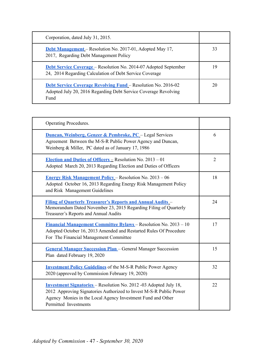| Corporation, dated July 31, 2015.                                                                                                               |    |
|-------------------------------------------------------------------------------------------------------------------------------------------------|----|
| <b>Debt Management</b> – Resolution No. 2017-01, Adopted May 17,<br>2017, Regarding Debt Management Policy                                      | 33 |
| <b>Debt Service Coverage</b> – Resolution No. 2014-07 Adopted September<br>24, 2014 Regarding Calculation of Debt Service Coverage              | 19 |
| <b>Debt Service Coverage Revolving Fund – Resolution No. 2016-02</b><br>Adopted July 20, 2016 Regarding Debt Service Coverage Revolving<br>Fund | 20 |

| Operating Procedures.                                                                                                                                                                                                                  |                |
|----------------------------------------------------------------------------------------------------------------------------------------------------------------------------------------------------------------------------------------|----------------|
| <b>Duncan, Weinberg, Genzer &amp; Pembroke, PC</b> - Legal Services<br>Agreement Between the M-S-R Public Power Agency and Duncan,<br>Weinberg & Miller, PC dated as of January 17, 1986                                               | 6              |
| Election and Duties of Officers $=$ Resolution No. 2013 – 01<br>Adopted March 20, 2013 Regarding Election and Duties of Officers                                                                                                       | $\overline{2}$ |
| <b>Energy Risk Management Policy – Resolution No. 2013 – 06</b><br>Adopted October 16, 2013 Regarding Energy Risk Management Policy<br>and Risk Management Guidelines                                                                  | 18             |
| <b>Filing of Quarterly Treasurer's Reports and Annual Audits -</b><br>Memorandum Dated November 23, 2015 Regarding Filing of Quarterly<br>Treasurer's Reports and Annual Audits                                                        | 24             |
| <u>Financial Management Committee Bylaws</u> – Resolution No. 2013 – 10<br>Adopted October 16, 2013 Amended and Restarted Rules Of Procedure<br>For The Financial Management Committee                                                 | 17             |
| <b>General Manager Succession Plan</b> - General Manager Succession<br>Plan dated February 19, 2020                                                                                                                                    | 15             |
| <b>Investment Policy Guidelines</b> of the M-S-R Public Power Agency<br>2020 (approved by Commission February 19, 2020)                                                                                                                | 32             |
| <b>Investment Signatories</b> – Resolution No. 2012 -03 Adopted July 18,<br>2012 Approving Signatories Authorized to Invest M-S-R Public Power<br>Agency Monies in the Local Agency Investment Fund and Other<br>Permitted Investments | 22             |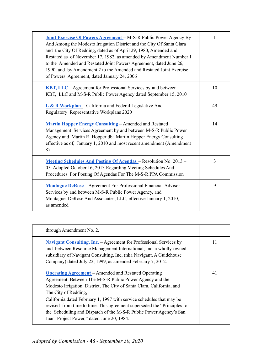| <b>Joint Exercise Of Powers Agreement</b> – M-S-R Public Power Agency By<br>And Among the Modesto Irrigation District and the City Of Santa Clara<br>and the City Of Redding, dated as of April 29, 1980, Amended and<br>Restated as of November 17, 1982, as amended by Amendment Number 1<br>to the Amended and Restated Joint Powers Agreement, dated June 26,<br>1990, and by Amendment 2 to the Amended and Restated Joint Exercise<br>of Powers Agreement, dated January 24, 2006 | 1  |
|-----------------------------------------------------------------------------------------------------------------------------------------------------------------------------------------------------------------------------------------------------------------------------------------------------------------------------------------------------------------------------------------------------------------------------------------------------------------------------------------|----|
| <b>KBT, LLC</b> – Agreement for Professional Services by and between<br>KBT, LLC and M-S-R Public Power Agency dated September 15, 2010                                                                                                                                                                                                                                                                                                                                                 | 10 |
| $L & R$ Workplan – California and Federal Legislative And<br>Regulatory Representative Workplans 2020                                                                                                                                                                                                                                                                                                                                                                                   | 49 |
| <b>Martin Hopper Energy Consulting – Amended and Restated</b><br>Management Services Agreement by and between M-S-R Public Power<br>Agency and Martin R. Hopper dba Martin Hopper Energy Consulting<br>effective as of, January 1, 2010 and most recent amendment (Amendment<br>8)                                                                                                                                                                                                      | 14 |
| Meeting Schedules And Posting Of Agendas - Resolution No. 2013 -<br>05 Adopted October 16, 2013 Regarding Meeting Schedules And<br>Procedures For Posting Of Agendas For The M-S-R PPA Commission                                                                                                                                                                                                                                                                                       | 3  |
| <b>Montague DeRose</b> – Agreement For Professional Financial Advisor<br>Services by and between M-S-R Public Power Agency, and<br>Montague DeRose And Associates, LLC, effective January 1, 2010,<br>as amended                                                                                                                                                                                                                                                                        | 9  |

| through Amendment No. 2.                                                                                                                                                                                                                                                                                                                                                                                                                                                                       |    |
|------------------------------------------------------------------------------------------------------------------------------------------------------------------------------------------------------------------------------------------------------------------------------------------------------------------------------------------------------------------------------------------------------------------------------------------------------------------------------------------------|----|
| <b>Navigant Consulting, Inc.</b> - Agreement for Professional Services by<br>and between Resource Management International, Inc. a wholly-owned<br>subsidiary of Navigant Consulting, Inc, (nka Navigant, A Guidehouse<br>Company) dated July 22, 1999, as amended February 7, 2012.                                                                                                                                                                                                           | 11 |
| <b>Operating Agreement</b> – Amended and Restated Operating<br>Agreement Between The M-S-R Public Power Agency and the<br>Modesto Irrigation District, The City of Santa Clara, California, and<br>The City of Redding,<br>California dated February 1, 1997 with service schedules that may be<br>revised from time to time. This agreement superseded the "Principles for<br>the Scheduling and Dispatch of the M-S-R Public Power Agency's San<br>Juan Project Power," dated June 20, 1984. | 41 |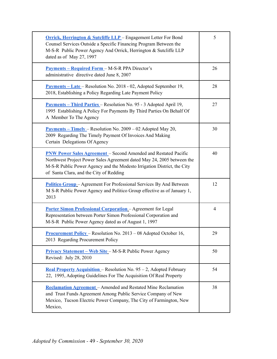| <b>Orrick, Herrington &amp; Sutcliffe LLP</b> - Engagement Letter For Bond<br>Counsel Services Outside a Specific Financing Program Between the<br>M-S-R Public Power Agency And Orrick, Herrington & Sutcliffe LLP<br>dated as of May 27, 1997                        | 5  |
|------------------------------------------------------------------------------------------------------------------------------------------------------------------------------------------------------------------------------------------------------------------------|----|
| <b>Payments – Required Form – M-S-R PPA Director's</b><br>administrative directive dated June 8, 2007                                                                                                                                                                  | 26 |
| <b>Payments – Late – Resolution No. 2018 - 02, Adopted September 19,</b><br>2018, Establishing a Policy Regarding Late Payment Policy                                                                                                                                  | 28 |
| <u>Payments – Third Parties</u> – Resolution No. 95 - 3 Adopted April 19,<br>1995 Establishing A Policy For Payments By Third Parties On Behalf Of<br>A Member To The Agency                                                                                           | 27 |
| <b>Payments – Timely – Resolution No. 2009 – 02 Adopted May 20,</b><br>2009 Regarding The Timely Payment Of Invoices And Making<br>Certain Delegations Of Agency                                                                                                       | 30 |
| <b>PNW Power Sales Agreement</b> - Second Amended and Restated Pacific<br>Northwest Project Power Sales Agreement dated May 24, 2005 between the<br>M-S-R Public Power Agency and the Modesto Irrigation District, the City<br>of Santa Clara, and the City of Redding | 40 |
| <b>Politico Group</b> – Agreement For Professional Services By And Between<br>M S-R Public Power Agency and Politico Group effective as of January 1,<br>2013                                                                                                          | 12 |
| <b>Porter Simon Professional Corporation</b> - Agreement for Legal<br>Representation between Porter Simon Professional Corporation and<br>M-S-R Public Power Agency dated as of August 1, 1997                                                                         | 4  |
| <b>Procurement Policy</b> – Resolution No. 2013 – 08 Adopted October 16,<br>2013 Regarding Procurement Policy                                                                                                                                                          | 29 |
| Privacy Statement - Web Site - M-S-R Public Power Agency<br>Revised: July 28, 2010                                                                                                                                                                                     | 50 |
| Real Property Acquisition - Resolution No. 95 - 2, Adopted February<br>22, 1995, Adopting Guidelines For The Acquisition Of Real Property                                                                                                                              | 54 |
| <b>Reclamation Agreement</b> - Amended and Restated Mine Reclamation<br>and Trust Funds Agreement Among Public Service Company of New<br>Mexico, Tucson Electric Power Company, The City of Farmington, New<br>Mexico,                                                 | 38 |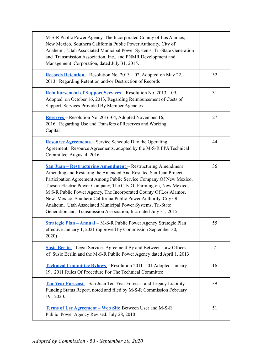| M-S-R Public Power Agency, The Incorporated County of Los Alamos,<br>New Mexico, Southern California Public Power Authority, City of<br>Anaheim, Utah Associated Municipal Power Systems, Tri-State Generation<br>and Transmission Association, Inc., and PNMR Development and<br>Management Corporation, dated July 31, 2015.                                                                                                                                                                                                                                   |    |
|------------------------------------------------------------------------------------------------------------------------------------------------------------------------------------------------------------------------------------------------------------------------------------------------------------------------------------------------------------------------------------------------------------------------------------------------------------------------------------------------------------------------------------------------------------------|----|
| Records Retention - Resolution No. 2013 - 02, Adopted on May 22,<br>2013, Regarding Retention and/or Destruction of Records                                                                                                                                                                                                                                                                                                                                                                                                                                      | 52 |
| Reimbursement of Support Services - Resolution No. 2013 - 09,<br>Adopted on October 16, 2013, Regarding Reimbursement of Costs of<br>Support Services Provided By Member Agencies.                                                                                                                                                                                                                                                                                                                                                                               | 31 |
| Reserves – Resolution No. 2016-04, Adopted November 16,<br>2016, Regarding Use and Transfers of Reserves and Working<br>Capital                                                                                                                                                                                                                                                                                                                                                                                                                                  | 27 |
| <b>Resource Agreements</b> – Service Schedule D to the Operating<br>Agreement, Resource Agreements, adopted by the M-S-R PPA Technical<br>Committee August 4, 2016                                                                                                                                                                                                                                                                                                                                                                                               | 44 |
| <b>San Juan – Restructuring Amendment – Restructuring Amendment</b><br>Amending and Restating the Amended And Restated San Juan Project<br>Participation Agreement Among Public Service Company Of New Mexico,<br>Tucson Electric Power Company, The City Of Farmington, New Mexico,<br>M S-R Public Power Agency, The Incorporated County Of Los Alamos,<br>New Mexico, Southern California Public Power Authority, City Of<br>Anaheim, Utah Associated Municipal Power Systems, Tri-State<br>Generation and Transmission Association, Inc. dated July 31, 2015 | 36 |
| <b>Strategic Plan - Annual</b> - M-S-R Public Power Agency Strategic Plan<br>effective January 1, 2021 (approved by Commission September 30,<br>2020)                                                                                                                                                                                                                                                                                                                                                                                                            | 55 |
| <b>Susie Berlin</b> – Legal Services Agreement By and Between Law Offices<br>of Susie Berlin and the M-S-R Public Power Agency dated April 1, 2013                                                                                                                                                                                                                                                                                                                                                                                                               | 7  |
| Technical Committee Bylaws - Resolution 2011 - 01 Adopted January<br>19, 2011 Rules Of Procedure For The Technical Committee                                                                                                                                                                                                                                                                                                                                                                                                                                     | 16 |
| Ten-Year Forecast - San Juan Ten-Year Forecast and Legacy Liability<br>Funding Status Report, noted and filed by M-S-R Commission February<br>19, 2020.                                                                                                                                                                                                                                                                                                                                                                                                          | 39 |
| <b>Terms of Use Agreement – Web Site Between User and M-S-R</b><br>Public Power Agency Revised: July 28, 2010                                                                                                                                                                                                                                                                                                                                                                                                                                                    | 51 |